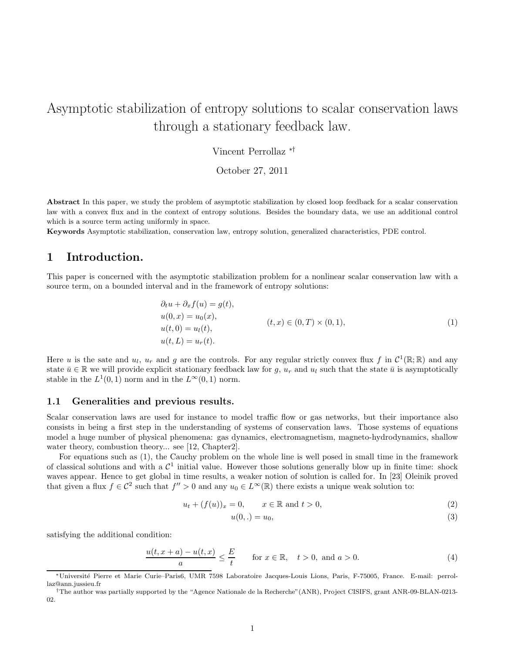# Asymptotic stabilization of entropy solutions to scalar conservation laws through a stationary feedback law.

Vincent Perrollaz ∗†

October 27, 2011

Abstract In this paper, we study the problem of asymptotic stabilization by closed loop feedback for a scalar conservation law with a convex flux and in the context of entropy solutions. Besides the boundary data, we use an additional control which is a source term acting uniformly in space.

Keywords Asymptotic stabilization, conservation law, entropy solution, generalized characteristics, PDE control.

### 1 Introduction.

This paper is concerned with the asymptotic stabilization problem for a nonlinear scalar conservation law with a source term, on a bounded interval and in the framework of entropy solutions:

$$
\partial_t u + \partial_x f(u) = g(t), \n u(0, x) = u_0(x), \n u(t, 0) = u_l(t), \n u(t, L) = u_r(t).
$$
\n(1)

Here u is the sate and  $u_l$ ,  $u_r$  and g are the controls. For any regular strictly convex flux f in  $\mathcal{C}^1(\mathbb{R};\mathbb{R})$  and any state  $\bar{u} \in \mathbb{R}$  we will provide explicit stationary feedback law for g,  $u_r$  and  $u_l$  such that the state  $\bar{u}$  is asymptotically stable in the  $L^1(0,1)$  norm and in the  $L^{\infty}(0,1)$  norm.

#### 1.1 Generalities and previous results.

Scalar conservation laws are used for instance to model traffic flow or gas networks, but their importance also consists in being a first step in the understanding of systems of conservation laws. Those systems of equations model a huge number of physical phenomena: gas dynamics, electromagnetism, magneto-hydrodynamics, shallow water theory, combustion theory... see [12, Chapter2].

For equations such as (1), the Cauchy problem on the whole line is well posed in small time in the framework of classical solutions and with a  $\mathcal{C}^1$  initial value. However those solutions generally blow up in finite time: shock waves appear. Hence to get global in time results, a weaker notion of solution is called for. In [23] Oleinik proved that given a flux  $f \in \mathcal{C}^2$  such that  $f'' > 0$  and any  $u_0 \in L^\infty(\mathbb{R})$  there exists a unique weak solution to:

$$
u_t + (f(u))_x = 0, \qquad x \in \mathbb{R} \text{ and } t > 0,
$$
\n
$$
(2)
$$

$$
u(0,.) = u_0,\tag{3}
$$

satisfying the additional condition:

$$
\frac{u(t, x+a) - u(t, x)}{a} \le \frac{E}{t} \quad \text{for } x \in \mathbb{R}, \quad t > 0, \text{ and } a > 0.
$$
 (4)

<sup>∗</sup>Universit´e Pierre et Marie Curie–Paris6, UMR 7598 Laboratoire Jacques-Louis Lions, Paris, F-75005, France. E-mail: perrollaz@ann.jussieu.fr

<sup>†</sup>The author was partially supported by the "Agence Nationale de la Recherche"(ANR), Project CISIFS, grant ANR-09-BLAN-0213- 02.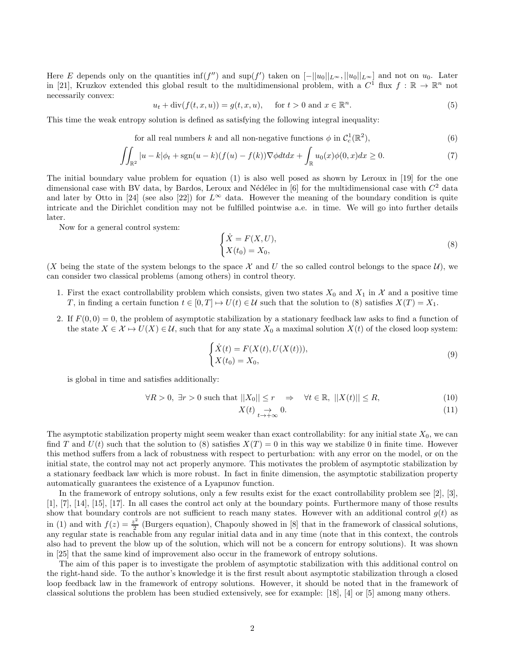Here E depends only on the quantities  $\inf(f'')$  and  $\sup(f')$  taken on  $[-||u_0||_{L^{\infty}}, ||u_0||_{L^{\infty}}]$  and not on  $u_0$ . Later in [21], Kruzkov extended this global result to the multidimensional problem, with a  $C^1$  flux  $f : \mathbb{R} \to \mathbb{R}^n$  not necessarily convex:

$$
u_t + \operatorname{div}(f(t, x, u)) = g(t, x, u), \quad \text{for } t > 0 \text{ and } x \in \mathbb{R}^n.
$$
 (5)

This time the weak entropy solution is defined as satisfying the following integral inequality:

for all real numbers k and all non-negative functions 
$$
\phi
$$
 in  $\mathcal{C}_c^1(\mathbb{R}^2)$ ,  $(6)$ 

$$
\iint_{\mathbb{R}^2} |u - k| \phi_t + \operatorname{sgn}(u - k)(f(u) - f(k)) \nabla \phi dt dx + \int_{\mathbb{R}} u_0(x) \phi(0, x) dx \ge 0.
$$
 (7)

The initial boundary value problem for equation (1) is also well posed as shown by Leroux in [19] for the one dimensional case with BV data, by Bardos, Leroux and Nédélec in [6] for the multidimensional case with  $C^2$  data and later by Otto in [24] (see also [22]) for  $L^{\infty}$  data. However the meaning of the boundary condition is quite intricate and the Dirichlet condition may not be fulfilled pointwise a.e. in time. We will go into further details later.

Now for a general control system:

$$
\begin{cases} \dot{X} = F(X, U), \\ X(t_0) = X_0, \end{cases}
$$
\n(8)

(X being the state of the system belongs to the space X and U the so called control belongs to the space  $\mathcal{U}$ ), we can consider two classical problems (among others) in control theory.

- 1. First the exact controllability problem which consists, given two states  $X_0$  and  $X_1$  in X and a positive time T, in finding a certain function  $t \in [0, T] \mapsto U(t) \in \mathcal{U}$  such that the solution to (8) satisfies  $X(T) = X_1$ .
- 2. If  $F(0,0) = 0$ , the problem of asymptotic stabilization by a stationary feedback law asks to find a function of the state  $X \in \mathcal{X} \mapsto U(X) \in \mathcal{U}$ , such that for any state  $X_0$  a maximal solution  $X(t)$  of the closed loop system:

$$
\begin{cases}\n\dot{X}(t) = F(X(t), U(X(t))),\\ X(t_0) = X_0,\n\end{cases}
$$
\n(9)

is global in time and satisfies additionally:

 $\forall R > 0, \exists r > 0 \text{ such that } ||X_0|| \leq r \Rightarrow \forall t \in \mathbb{R}, ||X(t)|| \leq R,$  (10)

$$
X(t) \underset{t \to +\infty}{\to} 0. \tag{11}
$$

The asymptotic stabilization property might seem weaker than exact controllability: for any initial state  $X_0$ , we can find T and  $U(t)$  such that the solution to (8) satisfies  $X(T) = 0$  in this way we stabilize 0 in finite time. However this method suffers from a lack of robustness with respect to perturbation: with any error on the model, or on the initial state, the control may not act properly anymore. This motivates the problem of asymptotic stabilization by a stationary feedback law which is more robust. In fact in finite dimension, the asymptotic stabilization property automatically guarantees the existence of a Lyapunov function.

In the framework of entropy solutions, only a few results exist for the exact controllability problem see [2], [3], [1], [7], [14], [15], [17]. In all cases the control act only at the boundary points. Furthermore many of those results show that boundary controls are not sufficient to reach many states. However with an additional control  $g(t)$  as in (1) and with  $f(z) = \frac{z^2}{2}$  $\frac{z^2}{2}$  (Burgers equation), Chapouly showed in [8] that in the framework of classical solutions, any regular state is reachable from any regular initial data and in any time (note that in this context, the controls also had to prevent the blow up of the solution, which will not be a concern for entropy solutions). It was shown in [25] that the same kind of improvement also occur in the framework of entropy solutions.

The aim of this paper is to investigate the problem of asymptotic stabilization with this additional control on the right-hand side. To the author's knowledge it is the first result about asymptotic stabilization through a closed loop feedback law in the framework of entropy solutions. However, it should be noted that in the framework of classical solutions the problem has been studied extensively, see for example: [18], [4] or [5] among many others.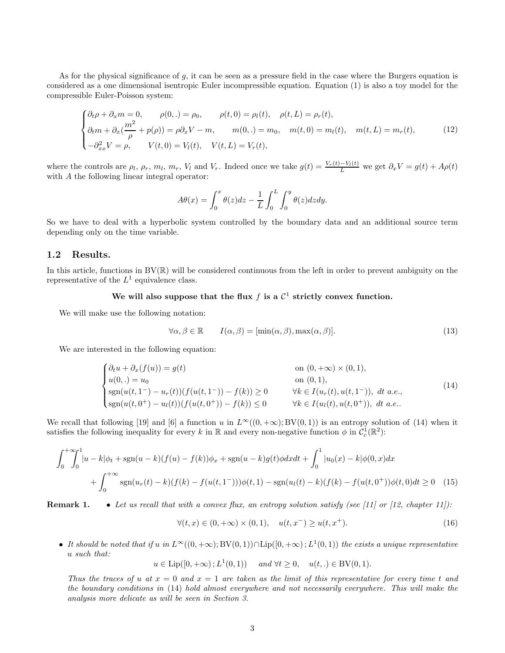As for the physical significance of g, it can be seen as a pressure field in the case where the Burgers equation is considered as a one dimensional isentropic Euler incompressible equation. Equation (1) is also a toy model for the compressible Euler-Poisson system:

$$
\begin{cases} \partial_t \rho + \partial_x m = 0, & \rho(0,.) = \rho_0, & \rho(t,0) = \rho_l(t), & \rho(t, L) = \rho_r(t), \\ \partial_t m + \partial_x (\frac{m^2}{\rho} + p(\rho)) = \rho \partial_x V - m, & m(0,.) = m_0, & m(t,0) = m_l(t), & m(t, L) = m_r(t), \\ -\partial_{xx}^2 V = \rho, & V(t,0) = V_l(t), & V(t, L) = V_r(t), \end{cases}
$$
(12)

where the controls are  $\rho_l$ ,  $\rho_r$ ,  $m_l$ ,  $m_r$ ,  $V_l$  and  $V_r$ . Indeed once we take  $g(t) = \frac{V_r(t) - V_l(t)}{L}$  we get  $\partial_x V = g(t) + A\rho(t)$ with A the following linear integral operator:

$$
A\theta(x) = \int_0^x \theta(z)dz - \frac{1}{L} \int_0^L \int_0^y \theta(z)dzdy.
$$

So we have to deal with a hyperbolic system controlled by the boundary data and an additional source term depending only on the time variable.

#### 1.2 Results.

In this article, functions in  $BV(\mathbb{R})$  will be considered continuous from the left in order to prevent ambiguity on the representative of the  $L^1$  equivalence class.

#### We will also suppose that the flux f is a  $\mathcal{C}^1$  strictly convex function.

We will make use the following notation:

$$
\forall \alpha, \beta \in \mathbb{R} \qquad I(\alpha, \beta) = [\min(\alpha, \beta), \max(\alpha, \beta)]. \tag{13}
$$

We are interested in the following equation:

$$
\begin{cases}\n\partial_t u + \partial_x(f(u)) = g(t) & \text{on } (0, +\infty) \times (0, 1), \\
u(0,.) = u_0 & \text{on } (0, 1), \\
\text{sgn}(u(t, 1^-) - u_r(t))(f(u(t, 1^-)) - f(k)) \ge 0 & \forall k \in I(u_r(t), u(t, 1^-)), \ dt \ a.e., \\
\text{sgn}(u(t, 0^+) - u_l(t))(f(u(t, 0^+)) - f(k)) \le 0 & \forall k \in I(u_l(t), u(t, 0^+)), \ dt \ a.e.\n\end{cases}
$$
\n(14)

We recall that following [19] and [6] a function u in  $L^{\infty}((0, +\infty); BV(0, 1))$  is an entropy solution of (14) when it satisfies the following inequality for every k in  $\mathbb R$  and every non-negative function  $\phi$  in  $\mathcal{C}_c^1(\mathbb R^2)$ :

$$
\int_0^{+\infty} \int_0^1 |u - k|\phi_t + \text{sgn}(u - k)(f(u) - f(k))\phi_x + \text{sgn}(u - k)g(t)\phi dx dt + \int_0^1 |u_0(x) - k|\phi(0, x)dx
$$
  
+ 
$$
\int_0^{+\infty} \text{sgn}(u_r(t) - k)(f(k) - f(u(t, 1^-)))\phi(t, 1) - \text{sgn}(u_l(t) - k)(f(k) - f(u(t, 0^+))\phi(t, 0)dt \ge 0 \quad (15)
$$

Remark 1. • *Let us recall that with a convex flux, an entropy solution satisfy (see [11] or [12, chapter 11]):*

$$
\forall (t, x) \in (0, +\infty) \times (0, 1), \quad u(t, x^{-}) \ge u(t, x^{+}). \tag{16}
$$

• It should be noted that if u in  $L^{\infty}((0, +\infty); BV(0, 1)) \cap Lip([0, +\infty); L^1(0, 1))$  the exists a unique representative u *such that:*

 $u \in \text{Lip}([0, +\infty); L^1(0, 1))$  *and*  $\forall t \ge 0, \quad u(t,.) \in BV(0, 1).$ 

*Thus the traces of* u at  $x = 0$  and  $x = 1$  are taken as the limit of this representative for every time t and *the boundary conditions in* (14) *hold almost everywhere and not necessarily everywhere. This will make the analysis more delicate as will be seen in Section 3.*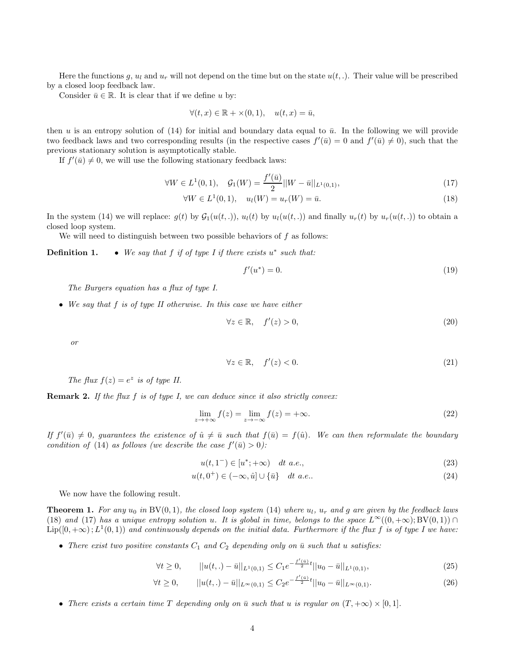Here the functions g,  $u_l$  and  $u_r$  will not depend on the time but on the state  $u(t,.)$ . Their value will be prescribed by a closed loop feedback law.

Consider  $\bar{u} \in \mathbb{R}$ . It is clear that if we define u by:

$$
\forall (t, x) \in \mathbb{R} + \times (0, 1), \quad u(t, x) = \bar{u},
$$

then u is an entropy solution of (14) for initial and boundary data equal to  $\bar{u}$ . In the following we will provide two feedback laws and two corresponding results (in the respective cases  $f'(\bar{u}) = 0$  and  $f'(\bar{u}) \neq 0$ ), such that the previous stationary solution is asymptotically stable.

If  $f'(\bar{u}) \neq 0$ , we will use the following stationary feedback laws:

$$
\forall W \in L^{1}(0,1), \quad \mathcal{G}_{1}(W) = \frac{f'(\bar{u})}{2} || W - \bar{u} ||_{L^{1}(0,1)}, \tag{17}
$$

$$
\forall W \in L^{1}(0, 1), \quad u_{l}(W) = u_{r}(W) = \bar{u}.
$$
\n(18)

In the system (14) we will replace:  $g(t)$  by  $\mathcal{G}_1(u(t, .))$ ,  $u_l(t)$  by  $u_l(u(t, .))$  and finally  $u_r(t)$  by  $u_r(u(t, .))$  to obtain a closed loop system.

We will need to distinguish between two possible behaviors of  $f$  as follows:

**Definition 1.** ● We say that f if of type I if there exists u<sup>\*</sup> such that:

$$
f'(u^*) = 0.\tag{19}
$$

*The Burgers equation has a flux of type I.*

• *We say that* f *is of type II otherwise. In this case we have either*

$$
\forall z \in \mathbb{R}, \quad f'(z) > 0,\tag{20}
$$

*or*

$$
\forall z \in \mathbb{R}, \quad f'(z) < 0. \tag{21}
$$

*The flux*  $f(z) = e^z$  *is of type II.* 

Remark 2. *If the flux* f *is of type I, we can deduce since it also strictly convex:*

$$
\lim_{z \to +\infty} f(z) = \lim_{z \to -\infty} f(z) = +\infty.
$$
\n(22)

If  $f'(\bar{u}) \neq 0$ , guarantees the existence of  $\hat{u} \neq \bar{u}$  such that  $f(\bar{u}) = f(\hat{u})$ . We can then reformulate the boundary *condition of* (14) *as follows (we describe the case*  $f'(\bar{u}) > 0$ *):* 

$$
u(t,1^-) \in [u^*; +\infty) \quad dt \ a.e., \tag{23}
$$

$$
u(t,0^+) \in (-\infty, \hat{u}] \cup \{\bar{u}\} \quad dt \ a.e.. \tag{24}
$$

We now have the following result.

**Theorem 1.** For any  $u_0$  in  $BV(0, 1)$ , the closed loop system (14) where  $u_l$ ,  $u_r$  and g are given by the feedback laws (18) and (17) has a unique entropy solution u. It is global in time, belongs to the space  $L^{\infty}((0, +\infty); BV(0, 1)) \cap$  $\text{Lip}([0,+\infty); L^1(0,1))$  and continuously depends on the initial data. Furthermore if the flux f is of type I we have:

• *There exist two positive constants*  $C_1$  *and*  $C_2$  *depending only on*  $\bar{u}$  *such that u satisfies:* 

$$
\forall t \ge 0, \qquad ||u(t,.) - \bar{u}||_{L^{1}(0,1)} \le C_1 e^{-\frac{f'( \bar{u})}{2}t} ||u_0 - \bar{u}||_{L^{1}(0,1)}, \tag{25}
$$

$$
\forall t \ge 0, \qquad ||u(t,.) - \bar{u}||_{L^{\infty}(0,1)} \le C_2 e^{-\frac{f'(a)}{2}t} ||u_0 - \bar{u}||_{L^{\infty}(0,1)}.
$$
\n(26)

• There exists a certain time T depending only on  $\bar{u}$  such that u is regular on  $(T, +\infty) \times [0, 1]$ .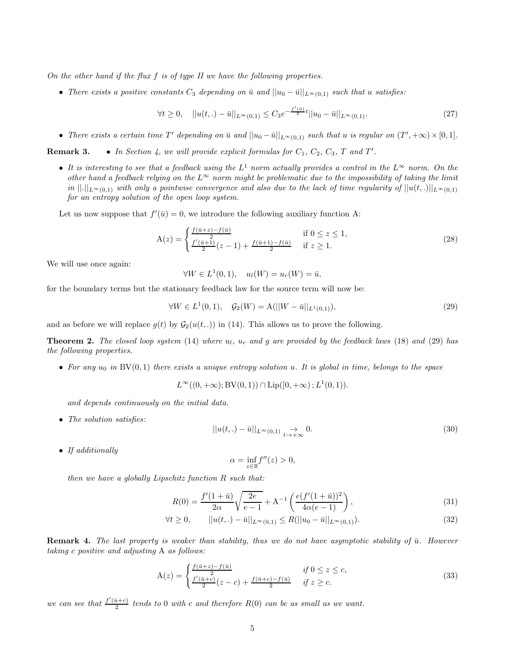*On the other hand if the flux* f *is of type II we have the following properties.*

• *There exists a positive constants*  $C_3$  *depending on*  $\bar{u}$  *and*  $||u_0 - \bar{u}||_{L^{\infty}(0,1)}$  *such that* u *satisfies:* 

$$
\forall t \ge 0, \quad ||u(t,.) - \bar{u}||_{L^{\infty}(0,1)} \le C_3 e^{-\frac{f'(a)}{2}t}||u_0 - \bar{u}||_{L^{\infty}(0,1)}.
$$
\n(27)

• There exists a certain time T' depending on  $\bar{u}$  and  $||u_0 - \bar{u}||_{L^{\infty}(0,1)}$  such that u is regular on  $(T', +\infty) \times [0,1]$ .

**Remark 3.** • In Section 4, we will provide explicit formulas for  $C_1$ ,  $C_2$ ,  $C_3$ ,  $T$  and  $T'$ .

• *It is interesting to see that a feedback using the* L <sup>1</sup> *norm actually provides a control in the* L<sup>∞</sup> *norm. On the other hand a feedback relying on the*  $L^{\infty}$  *norm might be problematic due to the impossibility of taking the limit in*  $\|.\|_{L^{\infty}(0,1)}$  *with only a pointwise convergence and also due to the lack of time regularity of*  $\|u(t,.)\|_{L^{\infty}(0,1)}$ *for an entropy solution of the open loop system.*

Let us now suppose that  $f'(\bar{u}) = 0$ , we introduce the following auxiliary function A:

$$
A(z) = \begin{cases} \frac{f(\bar{u}+z) - f(\bar{u})}{2} & \text{if } 0 \le z \le 1, \\ \frac{f'(\bar{u}+1)}{2}(z-1) + \frac{f(\bar{u}+1) - f(\bar{u})}{2} & \text{if } z \ge 1. \end{cases}
$$
(28)

We will use once again:

$$
\forall W \in L^1(0,1), \quad u_l(W) = u_r(W) = \bar{u},
$$

for the boundary terms but the stationary feedback law for the source term will now be:

$$
\forall W \in L^{1}(0,1), \quad \mathcal{G}_{2}(W) = \mathcal{A}(||W - \bar{u}||_{L^{1}(0,1)}), \tag{29}
$$

and as before we will replace  $g(t)$  by  $G_2(u(t, .))$  in (14). This allows us to prove the following.

**Theorem 2.** The closed loop system (14) where  $u_l$ ,  $u_r$  and g are provided by the feedback laws (18) and (29) has *the following properties.*

• For any  $u_0$  in  $BV(0, 1)$  there exists a unique entropy solution  $u$ . It is global in time, belongs to the space

 $L^{\infty}((0, +\infty); BV(0, 1)) \cap Lip([0, +\infty); L^1(0, 1)).$ 

*and depends continuously on the initial data.*

• *The solution satisfies:*

$$
||u(t,.) - \bar{u}||_{L^{\infty}(0,1)} \underset{t \to +\infty}{\to} 0. \tag{30}
$$

• *If additionally*

$$
\alpha = \inf_{z \in \mathbb{R}} f''(z) > 0,
$$

*then we have a globally Lipschitz function* R *such that:*

$$
R(0) = \frac{f'(1+\bar{u})}{2\alpha} \sqrt{\frac{2e}{e-1}} + A^{-1} \left( \frac{e(f'(1+\bar{u}))^2}{4\alpha(e-1)} \right),
$$
\n(31)

$$
\forall t \ge 0, \qquad ||u(t,.) - \bar{u}||_{L^{\infty}(0,1)} \le R(||u_0 - \bar{u}||_{L^{\infty}(0,1)}).
$$
\n(32)

Remark 4. The last property is weaker than stability, thus we do not have asymptotic stability of  $\bar{u}$ . However *taking* c *positive and adjusting* A *as follows:*

$$
A(z) = \begin{cases} \frac{f(\bar{u}+z) - f(\bar{u})}{2} & \text{if } 0 \le z \le c, \\ \frac{f'(\bar{u}+c)}{2}(z-c) + \frac{f(\bar{u}+c) - f(\bar{u})}{2} & \text{if } z \ge c. \end{cases}
$$
(33)

*we can see that*  $\frac{f'(\bar{u}+c)}{2}$  $\frac{a+c_1}{2}$  tends to 0 with c and therefore  $R(0)$  can be as small as we want.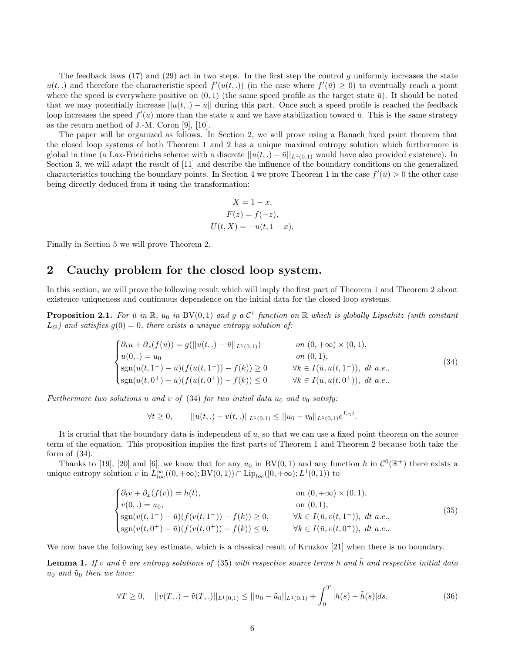The feedback laws (17) and (29) act in two steps. In the first step the control g uniformly increases the state  $u(t,.)$  and therefore the characteristic speed  $f'(u(t,.))$  (in the case where  $f'(\bar{u}) \geq 0$ ) to eventually reach a point where the speed is everywhere positive on  $(0, 1)$  (the same speed profile as the target state  $\bar{u}$ ). It should be noted that we may potentially increase  $||u(t,.) - \bar{u}||$  during this part. Once such a speed profile is reached the feedback loop increases the speed  $f'(u)$  more than the state u and we have stabilization toward  $\bar{u}$ . This is the same strategy as the return method of J.-M. Coron [9], [10].

The paper will be organized as follows. In Section 2, we will prove using a Banach fixed point theorem that the closed loop systems of both Theorem 1 and 2 has a unique maximal entropy solution which furthermore is global in time (a Lax-Friedrichs scheme with a discrete  $||u(t,.) - \bar{u}||_{L^1(0,1)}$  would have also provided existence). In Section 3, we will adapt the result of [11] and describe the influence of the boundary conditions on the generalized characteristics touching the boundary points. In Section 4 we prove Theorem 1 in the case  $f'(\bar{u}) > 0$  the other case being directly deduced from it using the transformation:

$$
X = 1 - x,
$$
  
\n
$$
F(z) = f(-z),
$$
  
\n
$$
U(t, X) = -u(t, 1 - x).
$$

Finally in Section 5 we will prove Theorem 2.

### 2 Cauchy problem for the closed loop system.

In this section, we will prove the following result which will imply the first part of Theorem 1 and Theorem 2 about existence uniqueness and continuous dependence on the initial data for the closed loop systems.

**Proposition 2.1.** For  $\bar{u}$  in  $\mathbb{R}$ ,  $u_0$  in  $BV(0,1)$  and  $g$  a  $\mathcal{C}^1$  function on  $\mathbb{R}$  which is globally Lipschitz (with constant  $L_G$ ) and satisfies  $g(0) = 0$ , there exists a unique entropy solution of:

$$
\begin{cases}\n\partial_t u + \partial_x(f(u)) = g(||u(t,.) - \bar{u}||_{L^1(0,1)}) & \text{on } (0, +\infty) \times (0,1), \\
u(0,.) = u_0 & \text{on } (0,1), \\
\text{sgn}(u(t,1^-) - \bar{u})(f(u(t,1^-)) - f(k)) \ge 0 & \forall k \in I(\bar{u}, u(t,1^-)), \text{ dt a.e.,} \\
\text{sgn}(u(t,0^+) - \bar{u})(f(u(t,0^+)) - f(k)) \le 0 & \forall k \in I(\bar{u}, u(t,0^+)), \text{ dt a.e.} \n\end{cases}
$$
\n(34)

*Furthermore two solutions* u and v of  $(34)$  *for two initial data*  $u_0$  *and*  $v_0$  *satisfy:* 

$$
\forall t \geq 0, \qquad ||u(t,.) - v(t,.)||_{L^1(0,1)} \leq ||u_0 - v_0||_{L^1(0,1)} e^{L_G t}.
$$

It is crucial that the boundary data is independent of  $u$ , so that we can use a fixed point theorem on the source term of the equation. This proposition implies the first parts of Theorem 1 and Theorem 2 because both take the form of  $(34)$ .

Thanks to [19], [20] and [6], we know that for any  $u_0$  in BV(0,1) and any function h in  $\mathcal{C}^0(\mathbb{R}^+)$  there exists a unique entropy solution v in  $L^{\infty}_{loc}((0, +\infty); BV(0, 1)) \cap \text{Lip}_{loc}([0, +\infty); L^1(0, 1))$  to

$$
\begin{cases}\n\partial_t v + \partial_x(f(v)) = h(t), & \text{on } (0, +\infty) \times (0, 1), \\
v(0,.) = u_0, & \text{on } (0, 1), \\
\text{sgn}(v(t, 1^-) - \bar{u})(f(v(t, 1^-)) - f(k)) \ge 0, & \forall k \in I(\bar{u}, v(t, 1^-)), dt \ a.e., \\
\text{sgn}(v(t, 0^+) - \bar{u})(f(v(t, 0^+)) - f(k)) \le 0, & \forall k \in I(\bar{u}, v(t, 0^+)), dt \ a.e.\n\end{cases}
$$
\n(35)

We now have the following key estimate, which is a classical result of Kruzkov [21] when there is no boundary.

**Lemma 1.** If v and  $\tilde{v}$  are entropy solutions of (35) with respective source terms h and h and respective initial data  $u_0$  *and*  $\tilde{u}_0$  *then we have:* 

$$
\forall T \ge 0, \quad ||v(T,.) - \tilde{v}(T,.)||_{L^1(0,1)} \le ||u_0 - \tilde{u}_0||_{L^1(0,1)} + \int_0^T |h(s) - \tilde{h}(s)| ds. \tag{36}
$$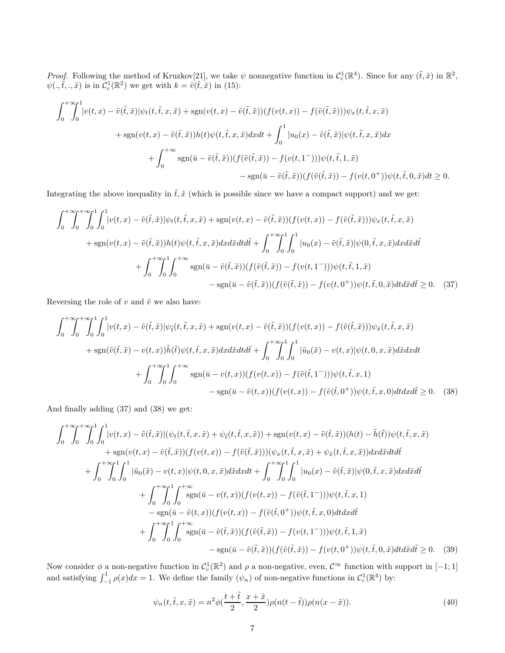*Proof.* Following the method of Kruzkov<sup>[21]</sup>, we take  $\psi$  nonnegative function in  $C_c^1(\mathbb{R}^4)$ . Since for any  $(\tilde{t}, \tilde{x})$  in  $\mathbb{R}^2$ ,  $\psi(.,\tilde{t},.,\tilde{x})$  is in  $\mathcal{C}_c^1(\mathbb{R}^2)$  we get with  $k = \tilde{v}(\tilde{t},\tilde{x})$  in (15):

$$
\int_0^{+\infty} \int_0^1 |v(t,x) - \tilde{v}(\tilde{t},\tilde{x})| \psi_t(t,\tilde{t},x,\tilde{x}) + \text{sgn}(v(t,x) - \tilde{v}(\tilde{t},\tilde{x})) (f(v(t,x)) - f(\tilde{v}(\tilde{t},\tilde{x}))) \psi_x(t,\tilde{t},x,\tilde{x})
$$
  
+ 
$$
\text{sgn}(v(t,x) - \tilde{v}(\tilde{t},\tilde{x})) h(t) \psi(t,\tilde{t},x,\tilde{x}) dx dt + \int_0^1 |u_0(x) - \tilde{v}(\tilde{t},\tilde{x})| \psi(t,\tilde{t},x,\tilde{x}) dx
$$
  
+ 
$$
\int_0^{+\infty} \text{sgn}(\bar{u} - \tilde{v}(\tilde{t},\tilde{x})) (f(\tilde{v}(\tilde{t},\tilde{x})) - f(v(t,1^-))) \psi(t,\tilde{t},1,\tilde{x})
$$
  
- 
$$
\text{sgn}(\bar{u} - \tilde{v}(\tilde{t},\tilde{x})) (f(\tilde{v}(\tilde{t},\tilde{x})) - f(v(t,0^+)) \psi(t,\tilde{t},0,\tilde{x}) dt \ge 0.
$$

Integrating the above inequality in  $\tilde{t}, \tilde{x}$  (which is possible since we have a compact support) and we get:

$$
\int_{0}^{+\infty} \int_{0}^{+\infty} \int_{0}^{1} \left|v(t,x) - \tilde{v}(\tilde{t},\tilde{x})\right| \psi_{t}(t,\tilde{t},x,\tilde{x}) + \operatorname{sgn}(v(t,x) - \tilde{v}(\tilde{t},\tilde{x}))(f(v(t,x)) - f(\tilde{v}(\tilde{t},\tilde{x})))\psi_{x}(t,\tilde{t},x,\tilde{x})\right|
$$
  
+ 
$$
\operatorname{sgn}(v(t,x) - \tilde{v}(\tilde{t},\tilde{x}))h(t)\psi(t,\tilde{t},x,\tilde{x})dxd\tilde{x}dt\tilde{d}t + \int_{0}^{+\infty} \int_{0}^{1} \int_{0}^{1} |u_{0}(x) - \tilde{v}(\tilde{t},\tilde{x})|\psi(0,\tilde{t},x,\tilde{x})dxd\tilde{x}d\tilde{t}
$$
  
+ 
$$
\int_{0}^{+\infty} \int_{0}^{1} \int_{0}^{+\infty} \operatorname{sgn}(\bar{u} - \tilde{v}(\tilde{t},\tilde{x}))(f(\tilde{v}(\tilde{t},\tilde{x})) - f(v(t,1^{-})))\psi(t,\tilde{t},1,\tilde{x})
$$
  
- 
$$
\operatorname{sgn}(\bar{u} - \tilde{v}(\tilde{t},\tilde{x}))\psi(t,\tilde{v}(\tilde{t},\tilde{x})) - f(v(t,0^{+}))\psi(t,\tilde{t},0,\tilde{x})dtd\tilde{x}d\tilde{t} \geq 0.
$$
 (37)

Reversing the role of  $v$  and  $\tilde{v}$  we also have:

$$
\int_{0}^{+\infty} \int_{0}^{+\infty} \int_{0}^{1} \int_{0}^{1} |v(t,x) - \tilde{v}(\tilde{t},\tilde{x})| \psi_{\tilde{t}}(t,\tilde{t},x,\tilde{x}) + \text{sgn}(v(t,x) - \tilde{v}(\tilde{t},\tilde{x})) (f(v(t,x)) - f(\tilde{v}(\tilde{t},\tilde{x}))) \psi_{\tilde{x}}(t,\tilde{t},x,\tilde{x}) \n+ \text{sgn}(\tilde{v}(\tilde{t},\tilde{x}) - v(t,x)) \tilde{h}(\tilde{t}) \psi(t,\tilde{t},x,\tilde{x}) dxd\tilde{x} dt d\tilde{t} + \int_{0}^{+\infty} \int_{0}^{1} \int_{0}^{1} |\tilde{u}_{0}(\tilde{x}) - v(t,x)| \psi(t,0,x,\tilde{x}) d\tilde{x} dx dt \n+ \int_{0}^{+\infty} \int_{0}^{1} \int_{0}^{+\infty} \text{sgn}(\bar{u} - v(t,x)) (f(v(t,x)) - f(\tilde{v}(\tilde{t},1^-))) \psi(t,\tilde{t},x,1) \n- \text{sgn}(\bar{u} - \tilde{v}(t,x)) (f(v(t,x)) - f(\tilde{v}(\tilde{t},0^+)) \psi(t,\tilde{t},x,0) dt dx d\tilde{t} \ge 0.
$$
 (38)

And finally adding (37) and (38) we get:

$$
\int_{0}^{+\infty} \int_{0}^{+\infty} \int_{0}^{1} |v(t,x) - \tilde{v}(\tilde{t},\tilde{x})| (\psi_t(t,\tilde{t},x,\tilde{x}) + \psi_{\tilde{t}}(t,\tilde{t},x,\tilde{x})) + \operatorname{sgn}(v(t,x) - \tilde{v}(\tilde{t},\tilde{x})) (h(t) - \tilde{h}(\tilde{t})) \psi(t,\tilde{t},x,\tilde{x}) \n+ \operatorname{sgn}(v(t,x) - \tilde{v}(\tilde{t},\tilde{x})) (f(v(t,x)) - f(\tilde{v}(\tilde{t},\tilde{x}))) (\psi_x(t,\tilde{t},x,\tilde{x}) + \psi_{\tilde{x}}(t,\tilde{t},x,\tilde{x})) dx d\tilde{x} dt d\tilde{t} \n+ \int_{0}^{+\infty} \int_{0}^{1} \int_{0}^{1} |\tilde{u}_0(\tilde{x}) - v(t,x)| \psi(t,0,x,\tilde{x}) d\tilde{x} dx dt + \int_{0}^{+\infty} \int_{0}^{1} \int_{0}^{1} |u_0(x) - \tilde{v}(\tilde{t},\tilde{x})| \psi(0,\tilde{t},x,\tilde{x}) dx d\tilde{x} d\tilde{t} \n+ \int_{0}^{+\infty} \int_{0}^{1} \int_{0}^{+\infty} \operatorname{sgn}(\bar{u} - v(t,x)) (f(v(t,x)) - f(\tilde{v}(\tilde{t},1^-))) \psi(t,\tilde{t},x,1) \n- \operatorname{sgn}(\bar{u} - \tilde{v}(t,x)) (f(v(t,x)) - f(\tilde{v}(\tilde{t},0^+)) \psi(t,\tilde{t},x,0) dt dx d\tilde{t} \n+ \int_{0}^{+\infty} \int_{0}^{1} \int_{0}^{+\infty} \operatorname{sgn}(\bar{u} - \tilde{v}(\tilde{t},\tilde{x})) (f(\tilde{v}(\tilde{t},\tilde{x})) - f(v(t,1^-))) \psi(t,\tilde{t},1,\tilde{x}) \n- \operatorname{sgn}(\bar{u} - \tilde{v}(\tilde{t},\tilde{x})) (f(\tilde{v}(\tilde{t},\tilde{x})) - f(v(t,0^+)) \psi(t,\tilde{t},0,\tilde{x}) dt
$$

Now consider  $\phi$  a non-negative function in  $\mathcal{C}_c^1(\mathbb{R}^2)$  and  $\rho$  a non-negative, even,  $\mathcal{C}^\infty$  function with support in  $[-1, 1]$ and satisfying  $\int_{-1}^{1} \rho(x) dx = 1$ . We define the family  $(\psi_n)$  of non-negative functions in  $C_c^1(\mathbb{R}^4)$  by:

$$
\psi_n(t, \tilde{t}, x, \tilde{x}) = n^2 \phi\left(\frac{t + \tilde{t}}{2}, \frac{x + \tilde{x}}{2}\right) \rho(n(t - \tilde{t})) \rho(n(x - \tilde{x})).
$$
\n(40)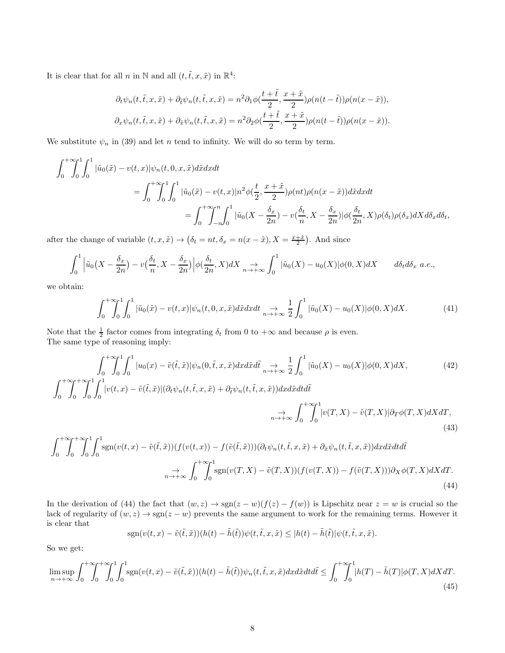It is clear that for all n in N and all  $(t, \tilde{t}, x, \tilde{x})$  in  $\mathbb{R}^4$ :

$$
\partial_t \psi_n(t, \tilde{t}, x, \tilde{x}) + \partial_{\tilde{t}} \psi_n(t, \tilde{t}, x, \tilde{x}) = n^2 \partial_1 \phi(\frac{t + \tilde{t}}{2}, \frac{x + \tilde{x}}{2}) \rho(n(t - \tilde{t})) \rho(n(x - \tilde{x})),
$$
  

$$
\partial_x \psi_n(t, \tilde{t}, x, \tilde{x}) + \partial_{\tilde{x}} \psi_n(t, \tilde{t}, x, \tilde{x}) = n^2 \partial_2 \phi(\frac{t + \tilde{t}}{2}, \frac{x + \tilde{x}}{2}) \rho(n(t - \tilde{t})) \rho(n(x - \tilde{x})).
$$

We substitute  $\psi_n$  in (39) and let n tend to infinity. We will do so term by term.

$$
\int_0^{+\infty} \int_0^1 \int_0^1 |\tilde{u}_0(\tilde{x}) - v(t, x)| \psi_n(t, 0, x, \tilde{x}) d\tilde{x} dx dt
$$
  
= 
$$
\int_0^{+\infty} \int_0^1 \int_0^1 |\tilde{u}_0(\tilde{x}) - v(t, x)| n^2 \phi(\frac{t}{2}, \frac{x + \tilde{x}}{2}) \rho(nt) \rho(n(x - \tilde{x})) d\tilde{x} dx dt
$$
  
= 
$$
\int_0^{+\infty} \int_{-n}^n \int_0^1 |\tilde{u}_0(X - \frac{\delta_x}{2n}) - v(\frac{\delta_t}{n}, X - \frac{\delta_x}{2n})| \phi(\frac{\delta_t}{2n}, X) \rho(\delta_t) \rho(\delta_x) dX d\delta_x d\delta_t,
$$

after the change of variable  $(t, x, \tilde{x}) \to (\delta_t = nt, \delta_x = n(x - \tilde{x}), X = \frac{x + \tilde{x}}{2})$ . And since

$$
\int_0^1 \left| \tilde{u}_0(X - \frac{\delta_x}{2n}) - v\left(\frac{\delta_t}{n}, X - \frac{\delta_x}{2n}\right) \right| \phi\left(\frac{\delta_t}{2n}, X\right) dX \underset{n \to +\infty}{\to} \int_0^1 |\tilde{u}_0(X) - u_0(X)| \phi(0, X) dX \qquad d\delta_t d\delta_x \text{ a.e.},
$$

we obtain:

$$
\int_0^{+\infty} \int_0^1 \int_0^1 |\tilde{u}_0(\tilde{x}) - v(t, x)| \psi_n(t, 0, x, \tilde{x}) d\tilde{x} dx dt \underset{n \to +\infty}{\to} \frac{1}{2} \int_0^1 |\tilde{u}_0(X) - u_0(X)| \phi(0, X) dX. \tag{41}
$$

Note that the  $\frac{1}{2}$  factor comes from integrating  $\delta_t$  from 0 to  $+\infty$  and because  $\rho$  is even. The same type of reasoning imply:

$$
\int_0^{+\infty} \int_0^{+\infty} \int_0^1 \int_0^1 |u_0(x) - \tilde{v}(\tilde{t}, \tilde{x})| \psi_n(0, \tilde{t}, x, \tilde{x}) dx d\tilde{x} d\tilde{t} \underset{n \to +\infty}{\to} \frac{1}{2} \int_0^1 |\tilde{u}_0(X) - u_0(X)| \phi(0, X) dX, \tag{42}
$$
\n
$$
\int_0^{+\infty} \int_0^1 \int_0^1 |v(t, x) - \tilde{v}(\tilde{t}, \tilde{x})| (\partial_t \psi_n(t, \tilde{t}, x, \tilde{x}) + \partial_{\tilde{t}} \psi_n(t, \tilde{t}, x, \tilde{x})) dx d\tilde{x} dt d\tilde{t}
$$

$$
\underset{n \to +\infty}{\to} \int_0^{+\infty} \int_0^1 \left| v(T, X) - \tilde{v}(T, X) \right| \partial_T \phi(T, X) dX dT,
$$
\n(43)

$$
\int_0^{+\infty} \int_0^{+\infty} \int_0^{1} \int_0^{1} \operatorname{sgn}(v(t,x) - \tilde{v}(\tilde{t},\tilde{x})) (f(v(t,x)) - f(\tilde{v}(\tilde{t},\tilde{x}))) (\partial_t \psi_n(t,\tilde{t},x,\tilde{x}) + \partial_{\tilde{x}} \psi_n(t,\tilde{t},x,\tilde{x})) dx d\tilde{x} dt d\tilde{t}
$$
  

$$
\to \int_0^{+\infty} \int_0^{1} \operatorname{sgn}(v(T,X) - \tilde{v}(T,X)) (f(v(T,X)) - f(\tilde{v}(T,X))) \partial_X \phi(T,X) dX dT.
$$
\n(44)

In the derivation of (44) the fact that  $(w, z) \to \text{sgn}(z - w)(f(z) - f(w))$  is Lipschitz near  $z = w$  is crucial so the lack of regularity of  $(w, z) \to \text{sgn}(z - w)$  prevents the same argument to work for the remaining terms. However it is clear that

$$
sgn(v(t, x) - \tilde{v}(\tilde{t}, \tilde{x})) (h(t) - \tilde{h}(\tilde{t})) \psi(t, \tilde{t}, x, \tilde{x}) \leq |h(t) - \tilde{h}(\tilde{t})| \psi(t, \tilde{t}, x, \tilde{x}).
$$

So we get:

$$
\limsup_{n \to +\infty} \int_0^{+\infty} \int_0^{+\infty} \int_0^1 \int_0^1 \text{sgn}(v(t,x) - \tilde{v}(\tilde{t},\tilde{x}))(h(t) - \tilde{h}(\tilde{t}))\psi_n(t,\tilde{t},x,\tilde{x})dxd\tilde{x}dt d\tilde{t} \le \int_0^{+\infty} \int_0^1 |h(T) - \tilde{h}(T)|\phi(T,X)dXdT. \tag{45}
$$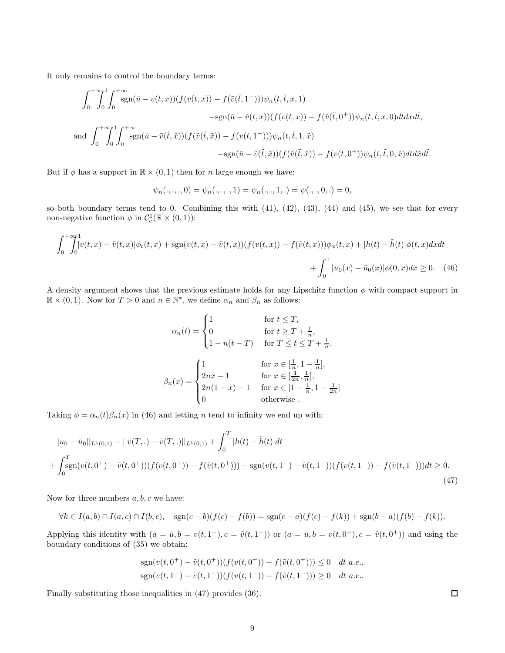It only remains to control the boundary terms:

$$
\int_0^{+\infty} \int_0^1 \int_0^{+\infty} \operatorname{sgn}(\bar{u} - v(t, x))(f(v(t, x)) - f(\tilde{v}(\tilde{t}, 1^-)))\psi_n(t, \tilde{t}, x, 1)
$$
  
\n
$$
-\operatorname{sgn}(\bar{u} - \tilde{v}(t, x))(f(v(t, x)) - f(\tilde{v}(\tilde{t}, 0^+))\psi_n(t, \tilde{t}, x, 0)dt dx d\tilde{t},
$$
  
\nand 
$$
\int_0^{+\infty} \int_0^1 \int_0^{+\infty} \operatorname{sgn}(\bar{u} - \tilde{v}(\tilde{t}, \tilde{x}))(f(\tilde{v}(\tilde{t}, \tilde{x})) - f(v(t, 1^-)))\psi_n(t, \tilde{t}, 1, \tilde{x})
$$
  
\n
$$
-\operatorname{sgn}(\bar{u} - \tilde{v}(\tilde{t}, \tilde{x}))(f(\tilde{v}(\tilde{t}, \tilde{x})) - f(v(t, 0^+))\psi_n(t, \tilde{t}, 0, \tilde{x})dt d\tilde{x} d\tilde{t}.
$$

But if  $\phi$  has a support in  $\mathbb{R} \times (0,1)$  then for *n* large enough we have:

$$
\psi_n(.,.,.,0) = \psi_n(.,.,.,1) = \psi_n(.,.,1,.) = \psi(.,.,0,.) = 0,
$$

so both boundary terms tend to 0. Combining this with (41), (42), (43), (44) and (45), we see that for every non-negative function  $\phi$  in  $C_c^1(\mathbb{R} \times (0,1))$ :

$$
\int_0^+\int_0^1 |v(t,x) - \tilde{v}(t,x)|\phi_t(t,x) + \text{sgn}(v(t,x) - \tilde{v}(t,x))(f(v(t,x)) - f(\tilde{v}(t,x)))\phi_x(t,x) + |h(t) - \tilde{h}(t)|\phi(t,x)dxdt
$$
  
+ 
$$
\int_0^1 |u_0(x) - \tilde{u}_0(x)|\phi(0,x)dx \ge 0. \quad (46)
$$

A density argument shows that the previous estimate holds for any Lipschitz function  $\phi$  with compact support in  $\mathbb{R} \times (0,1)$ . Now for  $T > 0$  and  $n \in \mathbb{N}^*$ , we define  $\alpha_n$  and  $\beta_n$  as follows:

$$
\alpha_n(t) = \begin{cases}\n1 & \text{for } t \le T, \\
0 & \text{for } t \ge T + \frac{1}{n}, \\
1 - n(t - T) & \text{for } T \le t \le T + \frac{1}{n},\n\end{cases}
$$
\n
$$
\beta_n(x) = \begin{cases}\n1 & \text{for } x \in [\frac{1}{n}, 1 - \frac{1}{n}], \\
2nx - 1 & \text{for } x \in [\frac{1}{2n}, \frac{1}{n}], \\
2n(1 - x) - 1 & \text{for } x \in [1 - \frac{1}{n}, 1 - \frac{1}{2n}]\n\end{cases}
$$
\nootherwise.

Taking  $\phi = \alpha_n(t)\beta_n(x)$  in (46) and letting *n* tend to infinity we end up with:

$$
||u_0 - \tilde{u}_0||_{L^1(0,1)} - ||v(T,.) - \tilde{v}(T,.)||_{L^1(0,1)} + \int_0^T |h(t) - \tilde{h}(t)|dt
$$
  
+ 
$$
\int_0^T \operatorname{sgn}(v(t, 0^+) - \tilde{v}(t, 0^+))(f(v(t, 0^+)) - f(\tilde{v}(t, 0^+))) - \operatorname{sgn}(v(t, 1^-) - \tilde{v}(t, 1^-))(f(v(t, 1^-)) - f(\tilde{v}(t, 1^-)))dt \ge 0.
$$
\n(47)

Now for three numbers  $a, b, c$  we have:

$$
\forall k \in I(a,b) \cap I(a,c) \cap I(b,c), \quad \text{sgn}(c-b)(f(c)-f(b)) = \text{sgn}(c-a)(f(c)-f(k)) + \text{sgn}(b-a)(f(b)-f(k)).
$$

Applying this identity with  $(a = \bar{u}, b = v(t, 1^{-}), c = \tilde{v}(t, 1^{-}))$  or  $(a = \bar{u}, b = v(t, 0^{+}), c = \tilde{v}(t, 0^{+}))$  and using the boundary conditions of (35) we obtain:

$$
sgn(v(t, 0^+) - \tilde{v}(t, 0^+))(f(v(t, 0^+)) - f(\tilde{v}(t, 0^+))) \le 0 \quad dt \text{ a.e.,}
$$
  
\n
$$
sgn(v(t, 1^-) - \tilde{v}(t, 1^-))(f(v(t, 1^-)) - f(\tilde{v}(t, 1^-))) \ge 0 \quad dt \text{ a.e.}.
$$

Finally substituting those inequalities in (47) provides (36).

 $\Box$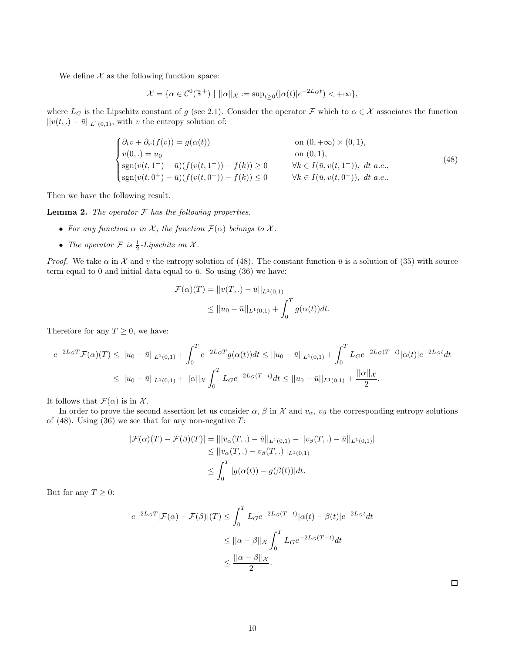We define  $X$  as the following function space:

$$
\mathcal{X} = \{ \alpha \in \mathcal{C}^0(\mathbb{R}^+) \mid ||\alpha||_{\mathcal{X}} := \sup_{t \ge 0} (|\alpha(t)|e^{-2L_G t}) < +\infty \},
$$

where  $L_G$  is the Lipschitz constant of g (see 2.1). Consider the operator F which to  $\alpha \in \mathcal{X}$  associates the function  $||v(t,.) - \bar{u}||_{L^{1}(0,1)}$ , with v the entropy solution of:

$$
\begin{cases}\n\partial_t v + \partial_x(f(v)) = g(\alpha(t)) & \text{on } (0, +\infty) \times (0, 1), \\
v(0, .) = u_0 & \text{on } (0, 1), \\
\text{sgn}(v(t, 1^-) - \bar{u})(f(v(t, 1^-)) - f(k)) \ge 0 & \forall k \in I(\bar{u}, v(t, 1^-)), dt \ a.e., \\
\text{sgn}(v(t, 0^+) - \bar{u})(f(v(t, 0^+)) - f(k)) \le 0 & \forall k \in I(\bar{u}, v(t, 0^+)), dt \ a.e..\n\end{cases}
$$
\n(48)

Then we have the following result.

Lemma 2. *The operator* F *has the following properties.*

- For any function  $\alpha$  *in*  $\mathcal{X}$ *, the function*  $\mathcal{F}(\alpha)$  *belongs to*  $\mathcal{X}$ *.*
- The operator  $\mathcal F$  is  $\frac{1}{2}$ -Lipschitz on  $\mathcal X$ .

*Proof.* We take  $\alpha$  in X and v the entropy solution of (48). The constant function  $\bar{u}$  is a solution of (35) with source term equal to 0 and initial data equal to  $\bar{u}$ . So using (36) we have:

$$
\mathcal{F}(\alpha)(T) = ||v(T,.) - \bar{u}||_{L^1(0,1)}
$$
  
\n
$$
\leq ||u_0 - \bar{u}||_{L^1(0,1)} + \int_0^T g(\alpha(t))dt.
$$

Therefore for any  $T \geq 0$ , we have:

$$
e^{-2L_{G}T} \mathcal{F}(\alpha)(T) \leq ||u_{0} - \bar{u}||_{L^{1}(0,1)} + \int_{0}^{T} e^{-2L_{G}T} g(\alpha(t))dt \leq ||u_{0} - \bar{u}||_{L^{1}(0,1)} + \int_{0}^{T} L_{G}e^{-2L_{G}(T-t)} |\alpha(t)|e^{-2L_{G}t}dt
$$
  

$$
\leq ||u_{0} - \bar{u}||_{L^{1}(0,1)} + ||\alpha||_{\mathcal{X}} \int_{0}^{T} L_{G}e^{-2L_{G}(T-t)}dt \leq ||u_{0} - \bar{u}||_{L^{1}(0,1)} + \frac{||\alpha||_{\mathcal{X}}}{2}.
$$

It follows that  $\mathcal{F}(\alpha)$  is in X.

In order to prove the second assertion let us consider  $\alpha$ ,  $\beta$  in X and  $v_{\alpha}$ ,  $v_{\beta}$  the corresponding entropy solutions of (48). Using (36) we see that for any non-negative  $T$ :

$$
|\mathcal{F}(\alpha)(T) - \mathcal{F}(\beta)(T)| = |||v_{\alpha}(T,.) - \bar{u}||_{L^{1}(0,1)} - ||v_{\beta}(T,.) - \bar{u}||_{L^{1}(0,1)}|
$$
  
\n
$$
\leq ||v_{\alpha}(T,.) - v_{\beta}(T,.)||_{L^{1}(0,1)}
$$
  
\n
$$
\leq \int_{0}^{T} |g(\alpha(t)) - g(\beta(t))|dt.
$$

But for any  $T \geq 0$ :

$$
e^{-2L_G T} |\mathcal{F}(\alpha) - \mathcal{F}(\beta)|(T) \le \int_0^T L_G e^{-2L_G(T-t)} |\alpha(t) - \beta(t)| e^{-2L_G t} dt
$$
  

$$
\le ||\alpha - \beta||_{\mathcal{X}} \int_0^T L_G e^{-2L_G(T-t)} dt
$$
  

$$
\le \frac{||\alpha - \beta||_{\mathcal{X}}}{2}.
$$

 $\Box$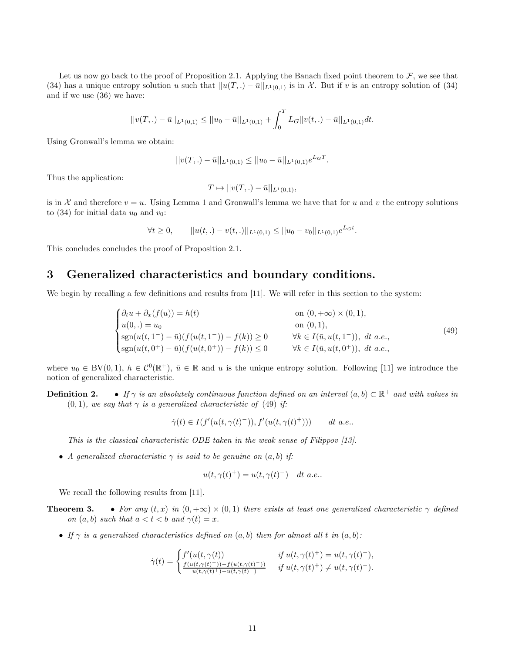Let us now go back to the proof of Proposition 2.1. Applying the Banach fixed point theorem to  $\mathcal{F}$ , we see that (34) has a unique entropy solution u such that  $||u(T,.) - \bar{u}||_{L^1(0,1)}$  is in X. But if v is an entropy solution of (34) and if we use (36) we have:

$$
||v(T,.) - \bar{u}||_{L^1(0,1)} \le ||u_0 - \bar{u}||_{L^1(0,1)} + \int_0^T L_G||v(t,.) - \bar{u}||_{L^1(0,1)}dt.
$$

Using Gronwall's lemma we obtain:

$$
||v(T,.) - \bar{u}||_{L^1(0,1)} \le ||u_0 - \bar{u}||_{L^1(0,1)} e^{L_G T}
$$

Thus the application:

$$
T \mapsto ||v(T,.) - \bar{u}||_{L^1(0,1)},
$$

is in X and therefore  $v = u$ . Using Lemma 1 and Gronwall's lemma we have that for u and v the entropy solutions to (34) for initial data  $u_0$  and  $v_0$ :

 $\forall t \geq 0, \qquad ||u(t,.) - v(t,.)||_{L^1(0,1)} \leq ||u_0 - v_0||_{L^1(0,1)}e^{L_G t}.$ 

This concludes concludes the proof of Proposition 2.1.

### 3 Generalized characteristics and boundary conditions.

We begin by recalling a few definitions and results from [11]. We will refer in this section to the system:

$$
\begin{cases}\n\partial_t u + \partial_x(f(u)) = h(t) & \text{on } (0, +\infty) \times (0, 1), \\
u(0,.) = u_0 & \text{on } (0, 1), \\
\text{sgn}(u(t, 1^-) - \bar{u})(f(u(t, 1^-)) - f(k)) \ge 0 & \forall k \in I(\bar{u}, u(t, 1^-)), dt \ a.e., \\
\text{sgn}(u(t, 0^+) - \bar{u})(f(u(t, 0^+)) - f(k)) \le 0 & \forall k \in I(\bar{u}, u(t, 0^+)), dt \ a.e.,\n\end{cases}
$$
\n(49)

.

where  $u_0 \in BV(0,1)$ ,  $h \in C^0(\mathbb{R}^+)$ ,  $\bar{u} \in \mathbb{R}$  and u is the unique entropy solution. Following [11] we introduce the notion of generalized characteristic.

**Definition 2.** • If  $\gamma$  is an absolutely continuous function defined on an interval  $(a, b) \subset \mathbb{R}^+$  and with values in  $(0, 1)$ *, we say that*  $\gamma$  *is a generalized characteristic of* (49) *if:* 

> $\dot{\gamma}(t) \in I(f'(u(t,\gamma(t)^-)), f'(u(t,\gamma(t)))$ dt  $a.e.,$

*This is the classical characteristic ODE taken in the weak sense of Filippov [13].*

• *A generalized characteristic*  $\gamma$  *is said to be genuine on*  $(a, b)$  *if:* 

$$
u(t, \gamma(t)^+) = u(t, \gamma(t)^-)
$$
 dt a.e..

We recall the following results from [11].

- **Theorem 3.** *For any*  $(t, x)$  *in*  $(0, +\infty) \times (0, 1)$  *there exists at least one generalized characteristic*  $\gamma$  *defined on*  $(a, b)$  *such that*  $a < t < b$  *and*  $\gamma(t) = x$ *.* 
	- *If*  $\gamma$  *is a generalized characteristics defined on*  $(a, b)$  *then for almost all* t *in*  $(a, b)$ *:*

$$
\dot{\gamma}(t) = \begin{cases} f'(u(t,\gamma(t)) & \text{if } u(t,\gamma(t)^+) = u(t,\gamma(t)^-), \\ \frac{f(u(t,\gamma(t)^+)) - f(u(t,\gamma(t)^-))}{u(t,\gamma(t)^+) - u(t,\gamma(t)^-)} & \text{if } u(t,\gamma(t)^+) \neq u(t,\gamma(t)^-). \end{cases}
$$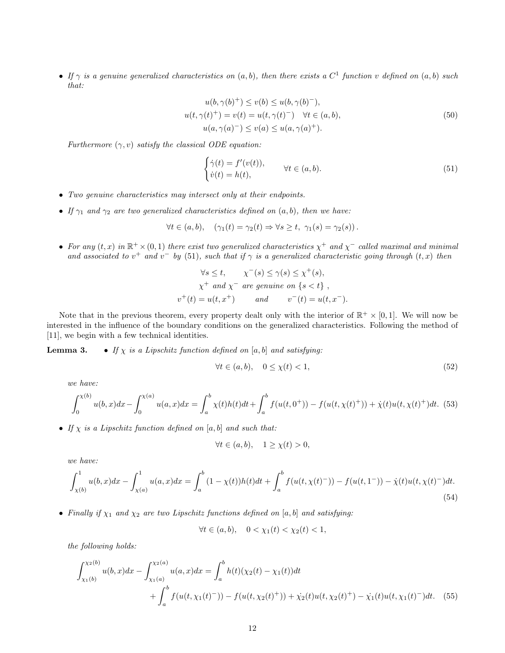• *If* γ *is a genuine generalized characteristics on* (a, b)*, then there exists a* C 1 *function* v *defined on* (a, b) *such that:*

$$
u(b, \gamma(b)^+) \le v(b) \le u(b, \gamma(b)^-),
$$
  
\n
$$
u(t, \gamma(t)^+) = v(t) = u(t, \gamma(t)^-) \quad \forall t \in (a, b),
$$
  
\n
$$
u(a, \gamma(a)^-) \le v(a) \le u(a, \gamma(a)^+).
$$
\n(50)

*Furthermore*  $(\gamma, v)$  *satisfy the classical ODE equation:* 

$$
\begin{cases}\n\dot{\gamma}(t) = f'(v(t)), \\
\dot{v}(t) = h(t),\n\end{cases} \quad \forall t \in (a, b).
$$
\n(51)

- *Two genuine characteristics may intersect only at their endpoints.*
- *If*  $\gamma_1$  *and*  $\gamma_2$  *are two generalized characteristics defined on*  $(a, b)$ *, then we have:*

$$
\forall t \in (a, b), \quad (\gamma_1(t) = \gamma_2(t) \Rightarrow \forall s \ge t, \ \gamma_1(s) = \gamma_2(s)).
$$

• For any  $(t, x)$  in  $\mathbb{R}^+ \times (0, 1)$  there exist two generalized characteristics  $\chi^+$  and  $\chi^-$  called maximal and minimal and associated to  $v^+$  and  $v^-$  by (51), such that if  $\gamma$  is a generalized characteristic going through  $(t, x)$  then

$$
\forall s \le t, \quad \chi^-(s) \le \gamma(s) \le \chi^+(s),
$$
  

$$
\chi^+ \text{ and } \chi^- \text{ are genuine on } \{s < t\},
$$
  

$$
v^+(t) = u(t, x^+) \qquad \text{and} \qquad v^-(t) = u(t, x^-).
$$

Note that in the previous theorem, every property dealt only with the interior of  $\mathbb{R}^+ \times [0,1]$ . We will now be interested in the influence of the boundary conditions on the generalized characteristics. Following the method of [11], we begin with a few technical identities.

**Lemma 3.** • If  $\chi$  *is a Lipschitz function defined on* [a, b] *and satisfying:* 

$$
\forall t \in (a, b), \quad 0 \le \chi(t) < 1,\tag{52}
$$

*we have:*

$$
\int_0^{\chi(b)} u(b,x)dx - \int_0^{\chi(a)} u(a,x)dx = \int_a^b \chi(t)h(t)dt + \int_a^b f(u(t,0^+)) - f(u(t,\chi(t)^+)) + \dot{\chi}(t)u(t,\chi(t)^+)dt.
$$
 (53)

• *If* χ *is a Lipschitz function defined on* [a, b] *and such that:*

$$
\forall t \in (a, b), \quad 1 \ge \chi(t) > 0,
$$

*we have:*

$$
\int_{\chi(b)}^{1} u(b,x)dx - \int_{\chi(a)}^{1} u(a,x)dx = \int_{a}^{b} (1 - \chi(t))h(t)dt + \int_{a}^{b} f(u(t,\chi(t)^{-})) - f(u(t,1^{-})) - \dot{\chi}(t)u(t,\chi(t)^{-})dt.
$$
\n(54)

• *Finally if*  $\chi_1$  *and*  $\chi_2$  *are two Lipschitz functions defined on* [a, b] *and satisfying:* 

$$
\forall t \in (a, b), \quad 0 < \chi_1(t) < \chi_2(t) < 1,
$$

*the following holds:*

$$
\int_{\chi_1(b)}^{\chi_2(b)} u(b,x)dx - \int_{\chi_1(a)}^{\chi_2(a)} u(a,x)dx = \int_a^b h(t)(\chi_2(t) - \chi_1(t))dt
$$
  
+ 
$$
\int_a^b f(u(t,\chi_1(t)^-)) - f(u(t,\chi_2(t)^+)) + \chi_2(t)u(t,\chi_2(t)^+) - \chi_1(t)u(t,\chi_1(t)^-)dt.
$$
 (55)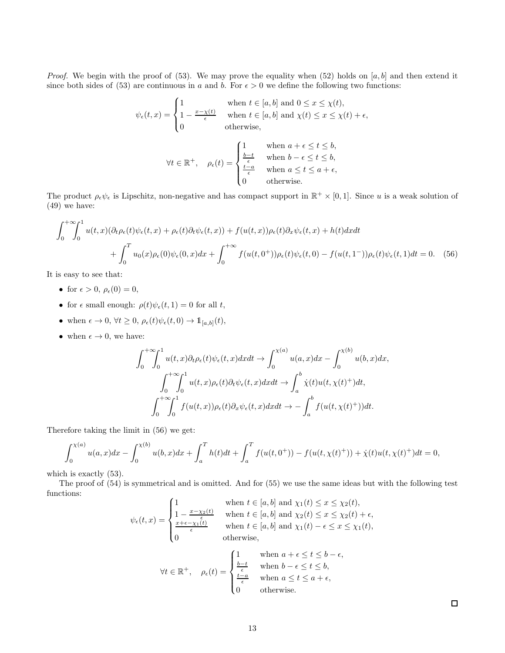*Proof.* We begin with the proof of (53). We may prove the equality when (52) holds on  $[a, b]$  and then extend it since both sides of (53) are continuous in a and b. For  $\epsilon > 0$  we define the following two functions:

$$
\psi_{\epsilon}(t,x) = \begin{cases} 1 & \text{when } t \in [a,b] \text{ and } 0 \le x \le \chi(t), \\ 1 - \frac{x - \chi(t)}{\epsilon} & \text{when } t \in [a,b] \text{ and } \chi(t) \le x \le \chi(t) + \epsilon, \\ 0 & \text{otherwise,} \end{cases}
$$

$$
\forall t \in \mathbb{R}^+, \quad \rho_{\epsilon}(t) = \begin{cases} 1 & \text{when } a + \epsilon \leq t \leq b, \\ \frac{b - t}{\epsilon} & \text{when } b - \epsilon \leq t \leq b, \\ \frac{t - a}{\epsilon} & \text{when } a \leq t \leq a + \epsilon, \\ 0 & \text{otherwise.} \end{cases}
$$

The product  $\rho_{\epsilon}\psi_{\epsilon}$  is Lipschitz, non-negative and has compact support in  $\mathbb{R}^+\times[0,1]$ . Since u is a weak solution of (49) we have:

$$
\int_0^{+\infty} \int_0^1 u(t,x)(\partial_t \rho_{\epsilon}(t)\psi_{\epsilon}(t,x) + \rho_{\epsilon}(t)\partial_t \psi_{\epsilon}(t,x)) + f(u(t,x))\rho_{\epsilon}(t)\partial_x \psi_{\epsilon}(t,x) + h(t)dxdt
$$
  
+ 
$$
\int_0^T u_0(x)\rho_{\epsilon}(0)\psi_{\epsilon}(0,x)dx + \int_0^{+\infty} f(u(t,0^+))\rho_{\epsilon}(t)\psi_{\epsilon}(t,0) - f(u(t,1^-))\rho_{\epsilon}(t)\psi_{\epsilon}(t,1)dt = 0.
$$
 (56)

It is easy to see that:

- for  $\epsilon > 0$ ,  $\rho_{\epsilon}(0) = 0$ ,
- for  $\epsilon$  small enough:  $\rho(t)\psi_{\epsilon}(t,1) = 0$  for all t,
- when  $\epsilon \to 0$ ,  $\forall t \geq 0$ ,  $\rho_{\epsilon}(t)\psi_{\epsilon}(t,0) \to \mathbb{1}_{[a,b]}(t)$ ,
- when  $\epsilon \to 0$ , we have:

$$
\int_0^{+\infty} \int_0^1 u(t, x) \partial_t \rho_{\epsilon}(t) \psi_{\epsilon}(t, x) dx dt \rightarrow \int_0^{\chi(a)} u(a, x) dx - \int_0^{\chi(b)} u(b, x) dx,
$$
  

$$
\int_0^{+\infty} \int_0^1 u(t, x) \rho_{\epsilon}(t) \partial_t \psi_{\epsilon}(t, x) dx dt \rightarrow \int_a^b \dot{\chi}(t) u(t, \chi(t)^+) dt,
$$
  

$$
\int_0^{+\infty} \int_0^1 f(u(t, x)) \rho_{\epsilon}(t) \partial_x \psi_{\epsilon}(t, x) dx dt \rightarrow - \int_a^b f(u(t, \chi(t)^+)) dt.
$$

Therefore taking the limit in (56) we get:

$$
\int_0^{\chi(a)} u(a,x)dx - \int_0^{\chi(b)} u(b,x)dx + \int_a^T h(t)dt + \int_a^T f(u(t,0^+)) - f(u(t,\chi(t)^+)) + \dot{\chi}(t)u(t,\chi(t)^+)dt = 0,
$$

which is exactly (53).

The proof of (54) is symmetrical and is omitted. And for (55) we use the same ideas but with the following test functions:  $\mathcal{L}_{1}$ then t  $\epsilon$  [a, b] and  $\chi$  (t)  $\leq x \leq \chi$  (t)

$$
\psi_{\epsilon}(t,x) = \begin{cases}\n1 & \text{when } t \in [a,b] \text{ and } \chi_1(t) \leq x \leq \chi_2(t), \\
1 - \frac{x - \chi_2(t)}{\epsilon} & \text{when } t \in [a,b] \text{ and } \chi_2(t) \leq x \leq \chi_2(t) + \epsilon, \\
\frac{x + \epsilon - \chi_1(t)}{\epsilon} & \text{when } t \in [a,b] \text{ and } \chi_1(t) - \epsilon \leq x \leq \chi_1(t), \\
0 & \text{otherwise,} \n\end{cases}
$$

$$
\forall t \in \mathbb{R}^+, \quad \rho_{\epsilon}(t) = \begin{cases} 1 & \text{when } a + \epsilon \leq t \leq b - \epsilon, \\ \frac{b - t}{\epsilon} & \text{when } b - \epsilon \leq t \leq b, \\ \frac{t - a}{\epsilon} & \text{when } a \leq t \leq a + \epsilon, \\ 0 & \text{otherwise.} \end{cases}
$$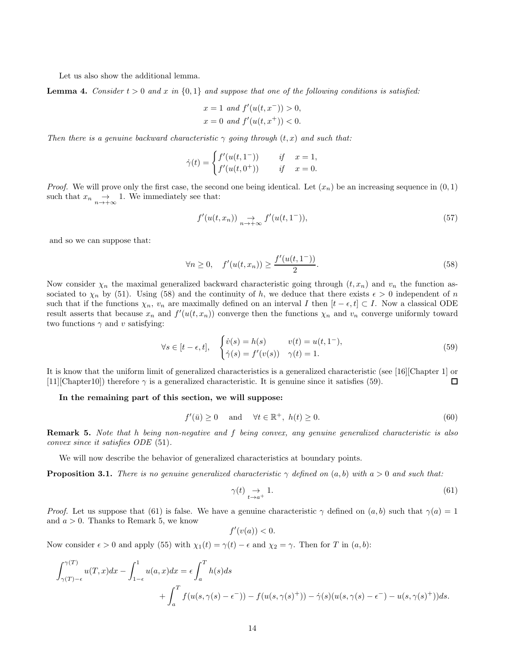Let us also show the additional lemma.

**Lemma 4.** *Consider*  $t > 0$  *and* x *in*  $\{0, 1\}$  *and suppose that one of the following conditions is satisfied:* 

$$
x = 1 \text{ and } f'(u(t, x^{-})) > 0,
$$
  

$$
x = 0 \text{ and } f'(u(t, x^{+})) < 0.
$$

*Then there is a genuine backward characteristic*  $\gamma$  *going through*  $(t, x)$  *and such that:* 

$$
\dot{\gamma}(t) = \begin{cases} f'(u(t, 1^-)) & \text{if } x = 1, \\ f'(u(t, 0^+)) & \text{if } x = 0. \end{cases}
$$

*Proof.* We will prove only the first case, the second one being identical. Let  $(x_n)$  be an increasing sequence in  $(0,1)$ such that  $x_n \underset{n \to +\infty}{\to} 1$ . We immediately see that:

$$
f'(u(t, x_n)) \underset{n \to +\infty}{\to} f'(u(t, 1^-)), \tag{57}
$$

and so we can suppose that:

$$
\forall n \ge 0, \quad f'(u(t, x_n)) \ge \frac{f'(u(t, 1^{-}))}{2}.
$$
\n(58)

Now consider  $\chi_n$  the maximal generalized backward characteristic going through  $(t, x_n)$  and  $v_n$  the function associated to  $\chi_n$  by (51). Using (58) and the continuity of h, we deduce that there exists  $\epsilon > 0$  independent of n such that if the functions  $\chi_n$ ,  $v_n$  are maximally defined on an interval I then  $[t - \epsilon, t] \subset I$ . Now a classical ODE result asserts that because  $x_n$  and  $f'(u(t, x_n))$  converge then the functions  $\chi_n$  and  $v_n$  converge uniformly toward two functions  $\gamma$  and v satisfying:

$$
\forall s \in [t - \epsilon, t], \quad \begin{cases} \dot{v}(s) = h(s) & v(t) = u(t, 1^-), \\ \dot{\gamma}(s) = f'(v(s)) & \gamma(t) = 1. \end{cases} \tag{59}
$$

It is know that the uniform limit of generalized characteristics is a generalized characteristic (see [16][Chapter 1] or [11][Chapter10]) therefore  $\gamma$  is a generalized characteristic. It is genuine since it satisfies (59).  $\Box$ 

#### In the remaining part of this section, we will suppose:

$$
f'(\bar{u}) \ge 0 \quad \text{and} \quad \forall t \in \mathbb{R}^+, \ h(t) \ge 0. \tag{60}
$$

Remark 5. *Note that* h *being non-negative and* f *being convex, any genuine generalized characteristic is also convex since it satisfies ODE* (51)*.*

We will now describe the behavior of generalized characteristics at boundary points.

**Proposition 3.1.** *There is no genuine generalized characteristic*  $\gamma$  *defined on*  $(a, b)$  *with*  $a > 0$  *and such that:* 

$$
\gamma(t) \underset{t \to a^{+}}{\to} 1. \tag{61}
$$

*Proof.* Let us suppose that (61) is false. We have a genuine characteristic  $\gamma$  defined on  $(a, b)$  such that  $\gamma(a) = 1$ and  $a > 0$ . Thanks to Remark 5, we know

$$
f'(v(a)) < 0.
$$

Now consider  $\epsilon > 0$  and apply (55) with  $\chi_1(t) = \gamma(t) - \epsilon$  and  $\chi_2 = \gamma$ . Then for T in  $(a, b)$ :

$$
\int_{\gamma(T)-\epsilon}^{\gamma(T)} u(T,x)dx - \int_{1-\epsilon}^{1} u(a,x)dx = \epsilon \int_{a}^{T} h(s)ds
$$
  
+ 
$$
\int_{a}^{T} f(u(s,\gamma(s)-\epsilon^{-})) - f(u(s,\gamma(s)^+)) - \dot{\gamma}(s)(u(s,\gamma(s)-\epsilon^{-}) - u(s,\gamma(s)^+))ds.
$$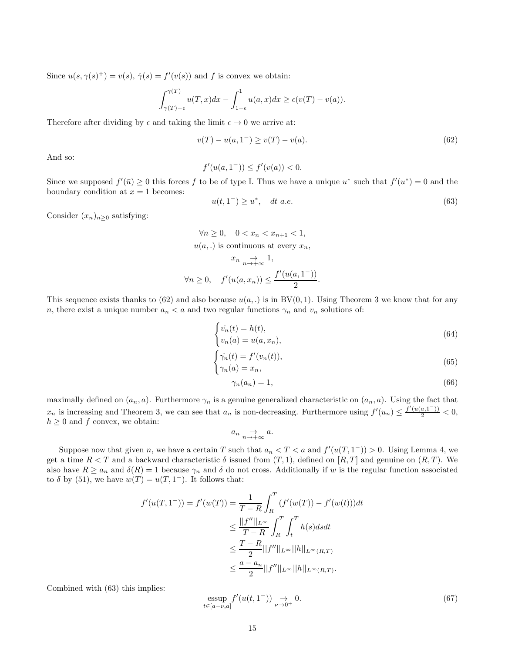Since  $u(s, \gamma(s)^+) = v(s), \dot{\gamma}(s) = f'(v(s))$  and f is convex we obtain:

$$
\int_{\gamma(T)-\epsilon}^{\gamma(T)} u(T,x)dx - \int_{1-\epsilon}^1 u(a,x)dx \ge \epsilon(v(T) - v(a)).
$$

Therefore after dividing by  $\epsilon$  and taking the limit  $\epsilon \to 0$  we arrive at:

$$
v(T) - u(a, 1^{-}) \ge v(T) - v(a). \tag{62}
$$

And so:

$$
f'(u(a, 1^-)) \le f'(v(a)) < 0.
$$

Since we supposed  $f'(\bar{u}) \geq 0$  this forces f to be of type I. Thus we have a unique  $u^*$  such that  $f'(u^*) = 0$  and the boundary condition at  $x = 1$  becomes:

$$
u(t,1^-) \ge u^*, \quad dt \ a.e. \tag{63}
$$

Consider  $(x_n)_{n\geq 0}$  satisfying:

$$
\forall n \ge 0, \quad 0 < x_n < x_{n+1} < 1,
$$
\n
$$
u(a,.) \text{ is continuous at every } x_n,
$$
\n
$$
x_n \underset{n \to +\infty}{\to} 1,
$$
\n
$$
\forall n \ge 0, \quad f'(u(a, x_n)) \le \frac{f'(u(a, 1^{-}))}{2}.
$$

This sequence exists thanks to (62) and also because  $u(a,.)$  is in BV(0,1). Using Theorem 3 we know that for any n, there exist a unique number  $a_n < a$  and two regular functions  $\gamma_n$  and  $v_n$  solutions of:

$$
\begin{cases}\n\dot{v_n}(t) = h(t), \\
v_n(a) = u(a, x_n),\n\end{cases} \tag{64}
$$

$$
\begin{cases} \dot{\gamma_n}(t) = f'(v_n(t)), \\ \gamma_n(a) = x_n, \end{cases}
$$
\n(65)

$$
\gamma_n(a_n) = 1,\tag{66}
$$

maximally defined on  $(a_n, a)$ . Furthermore  $\gamma_n$  is a genuine generalized characteristic on  $(a_n, a)$ . Using the fact that  $x_n$  is increasing and Theorem 3, we can see that  $a_n$  is non-decreasing. Furthermore using  $f'(u_n) \leq \frac{f'(u(a,1^{-}))}{2} < 0$ ,  $h \geq 0$  and f convex, we obtain:

$$
a_n \underset{n \to +\infty}{\to} a.
$$

Suppose now that given n, we have a certain T such that  $a_n < T < a$  and  $f'(u(T, 1^-)) > 0$ . Using Lemma 4, we get a time  $R < T$  and a backward characteristic  $\delta$  issued from  $(T, 1)$ , defined on  $[R, T]$  and genuine on  $(R, T)$ . We also have  $R \ge a_n$  and  $\delta(R) = 1$  because  $\gamma_n$  and  $\delta$  do not cross. Additionally if w is the regular function associated to  $\delta$  by (51), we have  $w(T) = u(T, 1^-)$ . It follows that:

$$
f'(u(T, 1^-)) = f'(w(T)) = \frac{1}{T - R} \int_R^T (f'(w(T)) - f'(w(t)))dt
$$
  
\n
$$
\leq \frac{||f''||_{L^{\infty}}}{T - R} \int_R^T \int_t^T h(s)dsdt
$$
  
\n
$$
\leq \frac{T - R}{2} ||f''||_{L^{\infty}} ||h||_{L^{\infty}(R,T)}
$$
  
\n
$$
\leq \frac{a - a_n}{2} ||f''||_{L^{\infty}} ||h||_{L^{\infty}(R,T)}.
$$

Combined with (63) this implies:

$$
\underset{t \in [a-\nu,a]}{\text{essup}} f'(u(t,1^-)) \underset{\nu \to 0^+}{\to} 0. \tag{67}
$$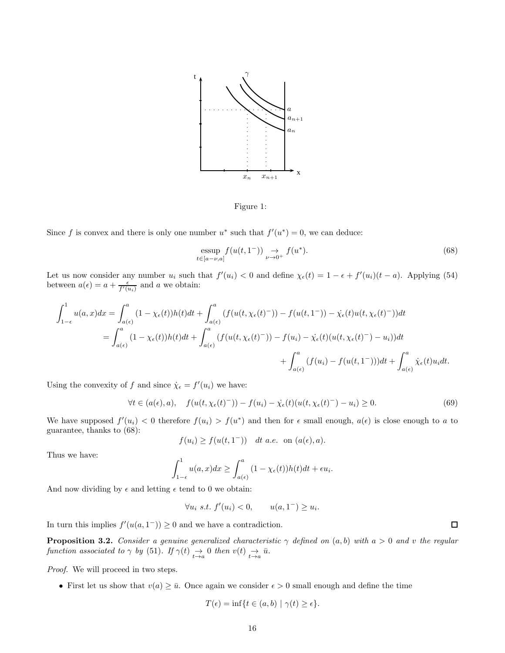

Figure 1:

Since f is convex and there is only one number  $u^*$  such that  $f'(u^*) = 0$ , we can deduce:

$$
\underset{t \in [a-\nu,a]}{\text{essup}} f(u(t,1^-)) \underset{\nu \to 0^+}{\to} f(u^*). \tag{68}
$$

Let us now consider any number  $u_i$  such that  $f'(u_i) < 0$  and define  $\chi_{\epsilon}(t) = 1 - \epsilon + f'(u_i)(t - a)$ . Applying (54) between  $a(\epsilon) = a + \frac{\epsilon}{f'(u_i)}$  and a we obtain:

$$
\int_{1-\epsilon}^{1} u(a,x)dx = \int_{a(\epsilon)}^{a} (1 - \chi_{\epsilon}(t))h(t)dt + \int_{a(\epsilon)}^{a} (f(u(t,\chi_{\epsilon}(t)^{-})) - f(u(t,1^{-})) - \dot{\chi}_{\epsilon}(t)u(t,\chi_{\epsilon}(t)^{-}))dt
$$
  
\n
$$
= \int_{a(\epsilon)}^{a} (1 - \chi_{\epsilon}(t))h(t)dt + \int_{a(\epsilon)}^{a} (f(u(t,\chi_{\epsilon}(t)^{-})) - f(u_{i}) - \dot{\chi}_{\epsilon}(t)(u(t,\chi_{\epsilon}(t)^{-}) - u_{i}))dt
$$
  
\n
$$
+ \int_{a(\epsilon)}^{a} (f(u_{i}) - f(u(t,1^{-})))dt + \int_{a(\epsilon)}^{a} \dot{\chi}_{\epsilon}(t)u_{i}dt.
$$

Using the convexity of f and since  $\dot{\chi}_{\epsilon} = f'(u_i)$  we have:

$$
\forall t \in (a(\epsilon), a), \quad f(u(t, \chi_{\epsilon}(t)^{-})) - f(u_i) - \dot{\chi_{\epsilon}}(t)(u(t, \chi_{\epsilon}(t)^{-}) - u_i) \ge 0.
$$
\n
$$
(69)
$$

We have supposed  $f'(u_i) < 0$  therefore  $f(u_i) > f(u^*)$  and then for  $\epsilon$  small enough,  $a(\epsilon)$  is close enough to a to guarantee, thanks to (68):

$$
f(u_i) \ge f(u(t, 1^-)) \quad dt \ a.e. \text{ on } (a(\epsilon), a).
$$

Thus we have:

$$
\int_{1-\epsilon}^1 u(a,x)dx \ge \int_{a(\epsilon)}^a (1-\chi_{\epsilon}(t))h(t)dt + \epsilon u_i.
$$

And now dividing by  $\epsilon$  and letting  $\epsilon$  tend to 0 we obtain:

$$
\forall u_i \ s.t. \ f'(u_i) < 0, \qquad u(a, 1^-) \ge u_i.
$$

In turn this implies  $f'(u(a, 1^-)) \geq 0$  and we have a contradiction.

**Proposition 3.2.** *Consider a genuine generalized characteristic*  $\gamma$  *defined on*  $(a, b)$  *with*  $a > 0$  *and v the regular function associated to*  $\gamma$  *by* (51)*. If*  $\gamma(t) \rightarrow 0$  *then*  $v(t) \rightarrow \overline{u}$ *.* 

*Proof.* We will proceed in two steps.

• First let us show that  $v(a) \ge \overline{u}$ . Once again we consider  $\epsilon > 0$  small enough and define the time

$$
T(\epsilon) = \inf\{t \in (a, b) \mid \gamma(t) \ge \epsilon\}.
$$

 $\Box$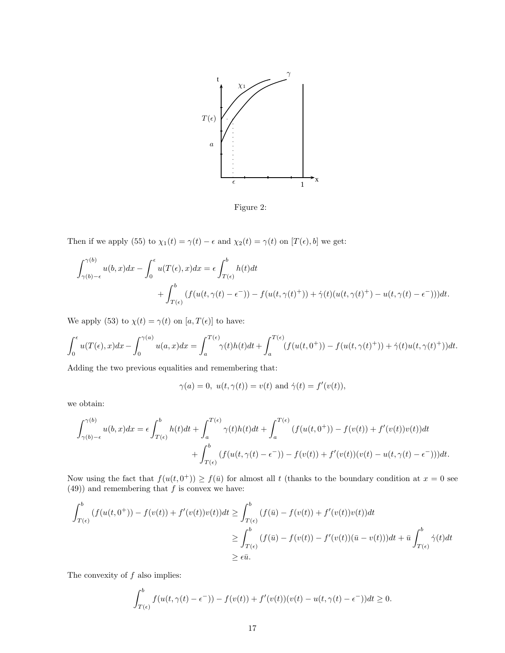

Figure 2:

Then if we apply (55) to  $\chi_1(t) = \gamma(t) - \epsilon$  and  $\chi_2(t) = \gamma(t)$  on  $[T(\epsilon), b]$  we get:

$$
\int_{\gamma(b)-\epsilon}^{\gamma(b)} u(b,x)dx - \int_0^{\epsilon} u(T(\epsilon),x)dx = \epsilon \int_{T(\epsilon)}^b h(t)dt
$$
  
+ 
$$
\int_{T(\epsilon)}^b (f(u(t,\gamma(t)-\epsilon^-)) - f(u(t,\gamma(t)^+)) + \dot{\gamma}(t)(u(t,\gamma(t)^+) - u(t,\gamma(t)-\epsilon^-)))dt.
$$

We apply (53) to  $\chi(t)=\gamma(t)$  on  $[a,T(\epsilon)]$  to have:

$$
\int_0^\epsilon u(T(\epsilon),x)dx - \int_0^{\gamma(a)} u(a,x)dx = \int_a^{T(\epsilon)} \gamma(t)h(t)dt + \int_a^{T(\epsilon)} (f(u(t,0^+)) - f(u(t,\gamma(t)^+)) + \dot{\gamma}(t)u(t,\gamma(t)^+))dt.
$$

Adding the two previous equalities and remembering that:

$$
\gamma(a) = 0, \ u(t, \gamma(t)) = v(t) \text{ and } \dot{\gamma}(t) = f'(v(t)),
$$

we obtain:

$$
\int_{\gamma(b)-\epsilon}^{\gamma(b)} u(b,x)dx = \epsilon \int_{T(\epsilon)}^b h(t)dt + \int_a^{T(\epsilon)} \gamma(t)h(t)dt + \int_a^{T(\epsilon)} (f(u(t,0^+)) - f(v(t)) + f'(v(t))v(t))dt
$$
  
+ 
$$
\int_{T(\epsilon)}^b (f(u(t,\gamma(t)-\epsilon^-)) - f(v(t)) + f'(v(t))(v(t) - u(t,\gamma(t)-\epsilon^-)))dt.
$$

Now using the fact that  $f(u(t, 0^+)) \ge f(\bar{u})$  for almost all t (thanks to the boundary condition at  $x = 0$  see  $(49)$ ) and remembering that f is convex we have:

$$
\int_{T(\epsilon)}^b (f(u(t,0^+)) - f(v(t)) + f'(v(t))v(t))dt \ge \int_{T(\epsilon)}^b (f(\bar{u}) - f(v(t)) + f'(v(t))v(t))dt
$$
  
\n
$$
\ge \int_{T(\epsilon)}^b (f(\bar{u}) - f(v(t)) - f'(v(t))(\bar{u} - v(t)))dt + \bar{u} \int_{T(\epsilon)}^b \dot{\gamma}(t)dt
$$
  
\n
$$
\ge \epsilon \bar{u}.
$$

The convexity of  $f$  also implies:

$$
\int_{T(\epsilon)}^b f(u(t,\gamma(t)-\epsilon^-)) - f(v(t)) + f'(v(t))(v(t)-u(t,\gamma(t)-\epsilon^-))dt \ge 0.
$$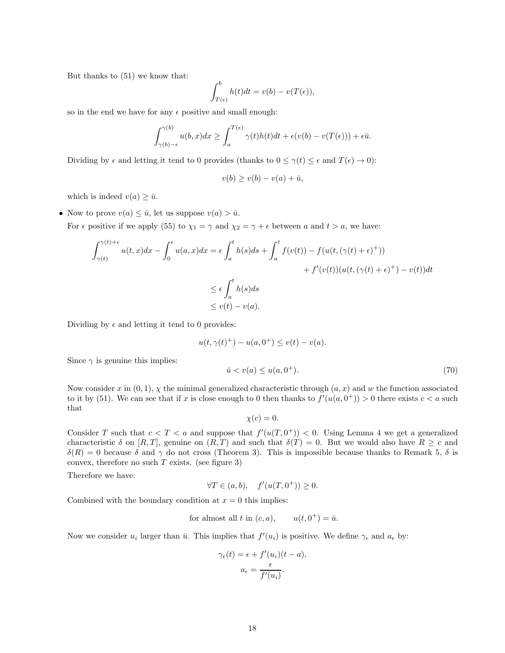But thanks to (51) we know that:

$$
\int_{T(\epsilon)}^b h(t)dt = v(b) - v(T(\epsilon)),
$$

so in the end we have for any  $\epsilon$  positive and small enough:

$$
\int_{\gamma(b)-\epsilon}^{\gamma(b)} u(b,x)dx \ge \int_a^{T(\epsilon)} \gamma(t)h(t)dt + \epsilon(v(b) - v(T(\epsilon))) + \epsilon \bar{u}.
$$

Dividing by  $\epsilon$  and letting it tend to 0 provides (thanks to  $0 \leq \gamma(t) \leq \epsilon$  and  $T(\epsilon) \to 0$ ):

$$
v(b) \ge v(b) - v(a) + \bar{u},
$$

which is indeed  $v(a) \geq \bar{u}$ .

• Now to prove  $v(a) \leq \bar{u}$ , let us suppose  $v(a) > \bar{u}$ .

For  $\epsilon$  positive if we apply (55) to  $\chi_1 = \gamma$  and  $\chi_2 = \gamma + \epsilon$  between a and  $t > a$ , we have:

$$
\int_{\gamma(t)}^{\gamma(t)+\epsilon} u(t,x)dx - \int_0^{\epsilon} u(a,x)dx = \epsilon \int_a^t h(s)ds + \int_a^t f(v(t)) - f(u(t,(\gamma(t)+\epsilon)^+))
$$
  
+  $f'(v(t))(u(t,(\gamma(t)+\epsilon)^+) - v(t))dt$   

$$
\leq \epsilon \int_a^t h(s)ds
$$
  

$$
\leq v(t) - v(a).
$$

Dividing by  $\epsilon$  and letting it tend to 0 provides:

$$
u(t, \gamma(t)^+) - u(a, 0^+) \le v(t) - v(a).
$$

Since  $\gamma$  is genuine this implies:

$$
\bar{u} < v(a) \le u(a, 0^+). \tag{70}
$$

Now consider x in  $(0, 1)$ ,  $\chi$  the minimal generalized characteristic through  $(a, x)$  and w the function associated to it by (51). We can see that if x is close enough to 0 then thanks to  $f'(u(a, 0^+)) > 0$  there exists  $c < a$  such that

$$
\chi(c) = 0.
$$

Consider T such that  $c < T < a$  and suppose that  $f'(u(T, 0^+)) < 0$ . Using Lemma 4 we get a generalized characteristic  $\delta$  on  $[R, T]$ , genuine on  $(R, T)$  and such that  $\delta(T) = 0$ . But we would also have  $R \geq c$  and  $\delta(R) = 0$  because  $\delta$  and  $\gamma$  do not cross (Theorem 3). This is impossible because thanks to Remark 5,  $\delta$  is convex, therefore no such  $T$  exists. (see figure 3)

Therefore we have:

$$
\forall T \in (a, b), \quad f'(u(T, 0^+)) \ge 0.
$$

Combined with the boundary condition at  $x = 0$  this implies:

for almost all 
$$
t
$$
 in  $(c, a)$ ,  $u(t, 0^+) = \bar{u}$ .

Now we consider  $u_i$  larger than  $\bar{u}$ . This implies that  $f'(u_i)$  is positive. We define  $\gamma_{\epsilon}$  and  $a_{\epsilon}$  by:

$$
\gamma_{\epsilon}(t) = \epsilon + f'(u_i)(t - a),
$$

$$
a_{\epsilon} = \frac{\epsilon}{f'(u_i)}.
$$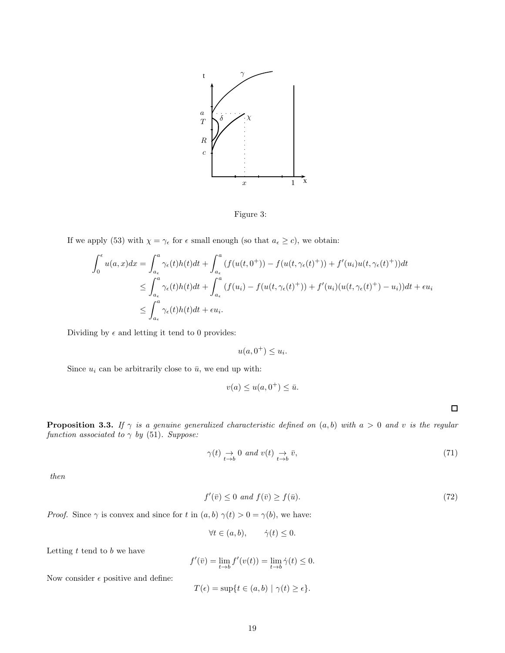

Figure 3:

If we apply (53) with  $\chi = \gamma_{\epsilon}$  for  $\epsilon$  small enough (so that  $a_{\epsilon} \ge c$ ), we obtain:

$$
\int_0^{\epsilon} u(a,x)dx = \int_{a_{\epsilon}}^a \gamma_{\epsilon}(t)h(t)dt + \int_{a_{\epsilon}}^a (f(u(t,0^+)) - f(u(t,\gamma_{\epsilon}(t)^+)) + f'(u_i)u(t,\gamma_{\epsilon}(t)^+))dt
$$
  
\n
$$
\leq \int_{a_{\epsilon}}^a \gamma_{\epsilon}(t)h(t)dt + \int_{a_{\epsilon}}^a (f(u_i) - f(u(t,\gamma_{\epsilon}(t)^+)) + f'(u_i)(u(t,\gamma_{\epsilon}(t)^+)-u_i))dt + \epsilon u_i
$$
  
\n
$$
\leq \int_{a_{\epsilon}}^a \gamma_{\epsilon}(t)h(t)dt + \epsilon u_i.
$$

Dividing by  $\epsilon$  and letting it tend to 0 provides:

 $u(a, 0^+) \leq u_i.$ 

Since  $u_i$  can be arbitrarily close to  $\bar{u}$ , we end up with:

$$
v(a) \le u(a, 0^+) \le \bar{u}.
$$

 $\Box$ 

**Proposition 3.3.** If  $\gamma$  is a genuine generalized characteristic defined on  $(a, b)$  with  $a > 0$  and v is the regular *function associated to*  $\gamma$  *by* (51)*. Suppose:* 

$$
\gamma(t) \underset{t \to b}{\to} 0 \text{ and } v(t) \underset{t \to b}{\to} \bar{v},\tag{71}
$$

*then*

$$
f'(\bar{v}) \le 0 \ and \ f(\bar{v}) \ge f(\bar{u}). \tag{72}
$$

*Proof.* Since  $\gamma$  is convex and since for t in  $(a, b)$   $\gamma(t) > 0 = \gamma(b)$ , we have:

$$
\forall t \in (a, b), \qquad \dot{\gamma}(t) \le 0.
$$

Letting  $t$  tend to  $b$  we have

$$
f'(\bar{v}) = \lim_{t \to b} f'(v(t)) = \lim_{t \to b} \dot{\gamma}(t) \le 0.
$$

Now consider  $\epsilon$  positive and define:

$$
T(\epsilon) = \sup\{t \in (a, b) \mid \gamma(t) \ge \epsilon\}.
$$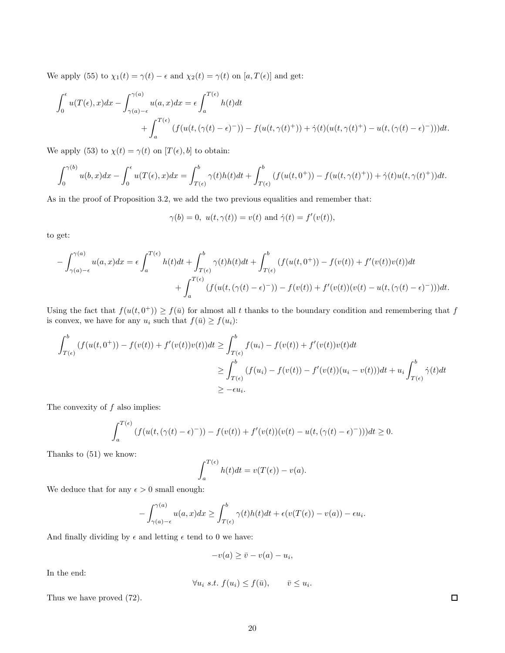We apply (55) to  $\chi_1(t) = \gamma(t) - \epsilon$  and  $\chi_2(t) = \gamma(t)$  on  $[a, T(\epsilon)]$  and get:

$$
\int_0^{\epsilon} u(T(\epsilon),x)dx - \int_{\gamma(a)-\epsilon}^{\gamma(a)} u(a,x)dx = \epsilon \int_a^{T(\epsilon)} h(t)dt
$$
  
+ 
$$
\int_a^{T(\epsilon)} (f(u(t,(\gamma(t)-\epsilon)^-)) - f(u(t, \gamma(t)^+)) + \dot{\gamma}(t)(u(t, \gamma(t)^+) - u(t, (\gamma(t)-\epsilon)^-)))dt.
$$

We apply (53) to  $\chi(t) = \gamma(t)$  on  $[T(\epsilon), b]$  to obtain:

$$
\int_0^{\gamma(b)} u(b,x)dx - \int_0^{\epsilon} u(T(\epsilon),x)dx = \int_{T(\epsilon)}^b \gamma(t)h(t)dt + \int_{T(\epsilon)}^b (f(u(t,0^+)) - f(u(t,\gamma(t)^+)) + \dot{\gamma}(t)u(t,\gamma(t)^+))dt.
$$

As in the proof of Proposition 3.2, we add the two previous equalities and remember that:

$$
\gamma(b)=0,\ u(t,\gamma(t))=v(t)\ \text{and}\ \dot\gamma(t)=f'(v(t)),
$$

to get:

$$
-\int_{\gamma(a)-\epsilon}^{\gamma(a)} u(a,x)dx = \epsilon \int_a^{T(\epsilon)} h(t)dt + \int_{T(\epsilon)}^b \gamma(t)h(t)dt + \int_{T(\epsilon)}^b (f(u(t,0^+)) - f(v(t)) + f'(v(t))v(t))dt
$$
  
+ 
$$
\int_a^{T(\epsilon)} (f(u(t,(\gamma(t)-\epsilon)^-)) - f(v(t)) + f'(v(t))(v(t) - u(t,(\gamma(t)-\epsilon)^-)))dt.
$$

Using the fact that  $f(u(t, 0^+)) \ge f(\bar{u})$  for almost all t thanks to the boundary condition and remembering that f is convex, we have for any  $u_i$  such that  $f(\bar{u}) \ge f(u_i)$ :

$$
\int_{T(\epsilon)}^{b} (f(u(t,0^{+})) - f(v(t)) + f'(v(t))v(t))dt \ge \int_{T(\epsilon)}^{b} f(u_{i}) - f(v(t)) + f'(v(t))v(t)dt
$$
\n
$$
\ge \int_{T(\epsilon)}^{b} (f(u_{i}) - f(v(t)) - f'(v(t))(u_{i} - v(t)))dt + u_{i} \int_{T(\epsilon)}^{b} \dot{\gamma}(t)dt
$$
\n
$$
\ge -\epsilon u_{i}.
$$

The convexity of  $f$  also implies:

$$
\int_a^{T(\epsilon)} \left( f(u(t,(\gamma(t)-\epsilon)^{-})) - f(v(t)) + f'(v(t))(v(t)-u(t,(\gamma(t)-\epsilon)^{-})) \right) dt \ge 0.
$$

Thanks to (51) we know:

$$
\int_{a}^{T(\epsilon)} h(t)dt = v(T(\epsilon)) - v(a).
$$

We deduce that for any  $\epsilon>0$  small enough:

$$
-\int_{\gamma(a)-\epsilon}^{\gamma(a)} u(a,x)dx \ge \int_{T(\epsilon)}^b \gamma(t)h(t)dt + \epsilon(v(T(\epsilon)) - v(a)) - \epsilon u_i.
$$

And finally dividing by  $\epsilon$  and letting  $\epsilon$  tend to 0 we have:

$$
-v(a) \geq \bar{v} - v(a) - u_i,
$$

In the end:

$$
\forall u_i \ s.t. \ f(u_i) \le f(\bar{u}), \qquad \bar{v} \le u_i.
$$

Thus we have proved (72).

 $\Box$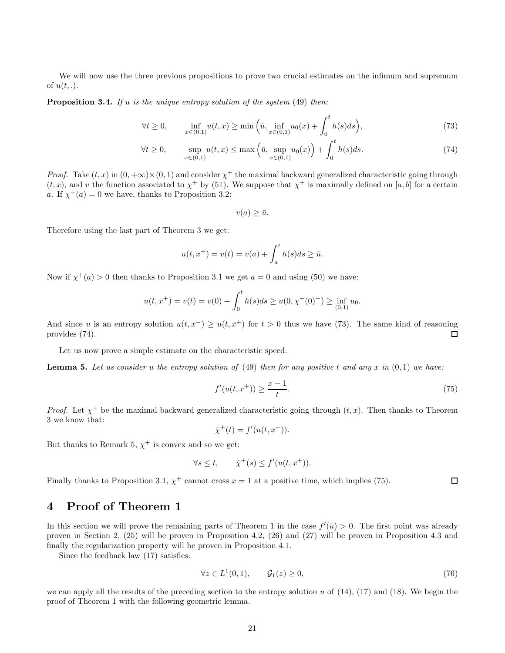We will now use the three previous propositions to prove two crucial estimates on the infimum and supremum of  $u(t,.)$ .

Proposition 3.4. *If* u *is the unique entropy solution of the system* (49) *then:*

$$
\forall t \ge 0, \qquad \inf_{x \in (0,1)} u(t,x) \ge \min\left(\bar{u}, \inf_{x \in (0,1)} u_0(x) + \int_0^t h(s)ds\right),\tag{73}
$$

$$
\forall t \ge 0, \qquad \sup_{x \in (0,1)} u(t,x) \le \max\left(\bar{u}, \sup_{x \in (0,1)} u_0(x)\right) + \int_0^t h(s)ds. \tag{74}
$$

*Proof.* Take  $(t, x)$  in  $(0, +\infty) \times (0, 1)$  and consider  $\chi^+$  the maximal backward generalized characteristic going through  $(t, x)$ , and v the function associated to  $\chi^+$  by (51). We suppose that  $\chi^+$  is maximally defined on [a, b] for a certain a. If  $\chi^+(a) = 0$  we have, thanks to Proposition 3.2:

 $v(a) \geq \bar{u}.$ 

Therefore using the last part of Theorem 3 we get:

$$
u(t, x^{+}) = v(t) = v(a) + \int_{a}^{t} h(s)ds \ge \bar{u}.
$$

Now if  $\chi^+(a) > 0$  then thanks to Proposition 3.1 we get  $a = 0$  and using (50) we have:

$$
u(t, x^{+}) = v(t) = v(0) + \int_{0}^{t} h(s)ds \ge u(0, \chi^{+}(0)^{-}) \ge \inf_{(0,1)} u_0.
$$

And since u is an entropy solution  $u(t, x^-) \geq u(t, x^+)$  for  $t > 0$  thus we have (73). The same kind of reasoning provides (74).  $\Box$ 

Let us now prove a simple estimate on the characteristic speed.

Lemma 5. *Let us consider* u *the entropy solution of* (49) *then for any positive* t *and any* x *in* (0, 1) *we have:*

$$
f'(u(t, x^+)) \ge \frac{x-1}{t}.\tag{75}
$$

*Proof.* Let  $\chi^+$  be the maximal backward generalized characteristic going through  $(t, x)$ . Then thanks to Theorem 3 we know that:

$$
\dot{\chi}^+(t) = f'(u(t, x^+)).
$$

But thanks to Remark 5,  $\chi^+$  is convex and so we get:

$$
\forall s \le t, \qquad \dot{\chi}^+(s) \le f'(u(t, x^+)).
$$

Finally thanks to Proposition 3.1,  $\chi^+$  cannot cross  $x = 1$  at a positive time, which implies (75).  $\Box$ 

### 4 Proof of Theorem 1

In this section we will prove the remaining parts of Theorem 1 in the case  $f'(\bar{u}) > 0$ . The first point was already proven in Section 2, (25) will be proven in Proposition 4.2, (26) and (27) will be proven in Proposition 4.3 and finally the regularization property will be proven in Proposition 4.1.

Since the feedback law (17) satisfies:

$$
\forall z \in L^1(0,1), \qquad \mathcal{G}_1(z) \ge 0,\tag{76}
$$

we can apply all the results of the preceding section to the entropy solution u of  $(14)$ ,  $(17)$  and  $(18)$ . We begin the proof of Theorem 1 with the following geometric lemma.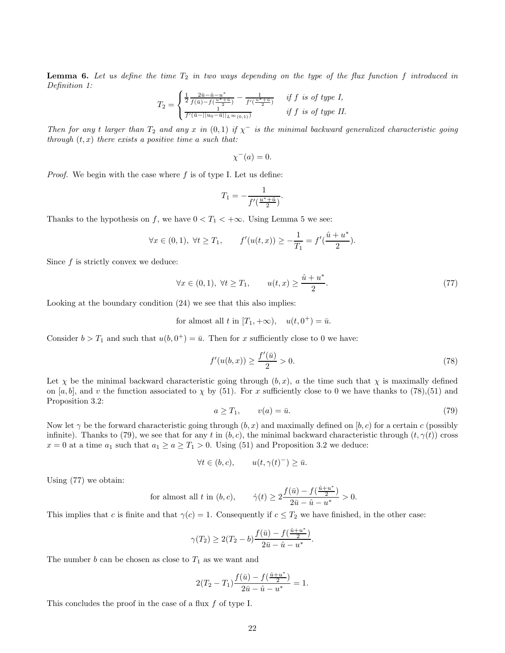Lemma 6. Let us define the time  $T_2$  in two ways depending on the type of the flux function f introduced in *Definition 1:*

$$
T_2 = \begin{cases} \frac{1}{2} \frac{2\bar{u} - \hat{u} - u^*}{f(\bar{u}) - f(\frac{u^* + \hat{u}}{2})} - \frac{1}{f'(\frac{u^* + \hat{u}}{2})} & \text{if } f \text{ is of type } I, \\ \frac{1}{f'(\bar{u} - ||u_0 - \bar{u}||_{L^{\infty}(0,1)})} & \text{if } f \text{ is of type } II. \end{cases}
$$

*Then for any t larger than*  $T_2$  *and any*  $x$  *in*  $(0,1)$  *if*  $\chi$ <sup>-</sup> *is the minimal backward generalized characteristic going through* (t, x) *there exists a positive time* a *such that:*

$$
\chi^-(a) = 0.
$$

*Proof.* We begin with the case where  $f$  is of type I. Let us define:

$$
T_1 = -\frac{1}{f'(\frac{u^* + \hat{u}}{2})}.
$$

Thanks to the hypothesis on f, we have  $0 < T_1 < +\infty$ . Using Lemma 5 we see:

$$
\forall x \in (0,1), \ \forall t \geq T_1,
$$
  $f'(u(t,x)) \geq -\frac{1}{T_1} = f'(\frac{\hat{u} + u^*}{2}).$ 

Since  $f$  is strictly convex we deduce:

$$
\forall x \in (0,1), \ \forall t \ge T_1, \qquad u(t,x) \ge \frac{\hat{u} + u^*}{2}.\tag{77}
$$

Looking at the boundary condition (24) we see that this also implies:

for almost all t in 
$$
[T_1, +\infty)
$$
,  $u(t, 0^+) = \bar{u}$ .

Consider  $b > T_1$  and such that  $u(b, 0^+) = \bar{u}$ . Then for x sufficiently close to 0 we have:

$$
f'(u(b,x)) \ge \frac{f'(\bar{u})}{2} > 0.
$$
\n(78)

Let  $\chi$  be the minimal backward characteristic going through  $(b, x)$ , a the time such that  $\chi$  is maximally defined on [a, b], and v the function associated to  $\chi$  by (51). For x sufficiently close to 0 we have thanks to (78),(51) and Proposition 3.2:

$$
a \geq T_1, \qquad v(a) = \bar{u}.\tag{79}
$$

.

Now let  $\gamma$  be the forward characteristic going through  $(b, x)$  and maximally defined on  $[b, c)$  for a certain c (possibly infinite). Thanks to (79), we see that for any t in  $(b, c)$ , the minimal backward characteristic through  $(t, \gamma(t))$  cross  $x = 0$  at a time  $a_1$  such that  $a_1 \ge a \ge T_1 > 0$ . Using (51) and Proposition 3.2 we deduce:

$$
\forall t \in (b, c), \qquad u(t, \gamma(t)^{-}) \ge \bar{u}.
$$

Using (77) we obtain:

for almost all 
$$
t
$$
 in  $(b, c)$ ,  $\dot{\gamma}(t) \ge 2 \frac{f(\bar{u}) - f(\frac{\hat{u} + u^*}{2})}{2\bar{u} - \hat{u} - u^*} > 0$ .

This implies that c is finite and that  $\gamma(c) = 1$ . Consequently if  $c \leq T_2$  we have finished, in the other case:

$$
\gamma(T_2) \ge 2(T_2 - b) \frac{f(\bar{u}) - f(\frac{\hat{u} + u^*}{2})}{2\bar{u} - \hat{u} - u^*}
$$

The number  $b$  can be chosen as close to  $T_1$  as we want and

$$
2(T_2 - T_1) \frac{f(\bar{u}) - f(\frac{\hat{u} + u^*}{2})}{2\bar{u} - \hat{u} - u^*} = 1.
$$

This concludes the proof in the case of a flux f of type I.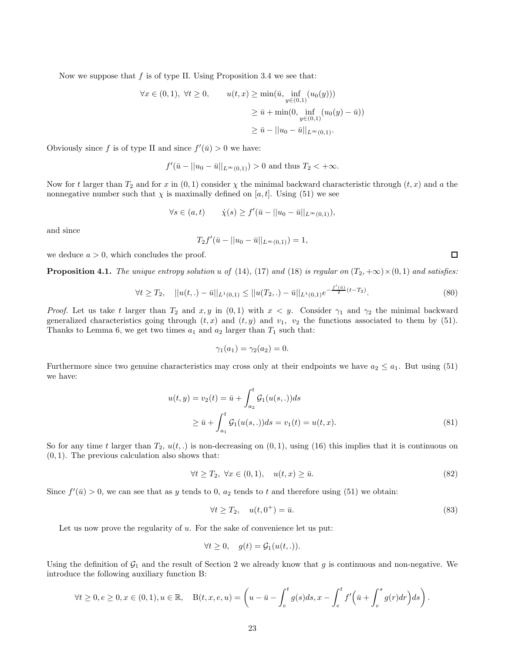Now we suppose that  $f$  is of type II. Using Proposition 3.4 we see that:

$$
\forall x \in (0,1), \ \forall t \ge 0, \qquad u(t,x) \ge \min(\bar{u}, \inf_{y \in (0,1)} (u_0(y)))
$$

$$
\ge \bar{u} + \min(0, \inf_{y \in (0,1)} (u_0(y) - \bar{u}))
$$

$$
\ge \bar{u} - ||u_0 - \bar{u}||_{L^{\infty}(0,1)}.
$$

Obviously since f is of type II and since  $f'(\bar{u}) > 0$  we have:

$$
f'(\bar{u} - ||u_0 - \bar{u}||_{L^{\infty}(0,1)}) > 0
$$
 and thus  $T_2 < +\infty$ .

Now for t larger than  $T_2$  and for x in  $(0,1)$  consider  $\chi$  the minimal backward characteristic through  $(t, x)$  and a the nonnegative number such that  $\chi$  is maximally defined on [a, t]. Using (51) we see

$$
\forall s \in (a, t) \qquad \dot{\chi}(s) \ge f'(\bar{u} - ||u_0 - \bar{u}||_{L^{\infty}(0, 1)}),
$$

and since

$$
T_2f'(\bar{u} - ||u_0 - \bar{u}||_{L^{\infty}(0,1)}) = 1,
$$

we deduce  $a > 0$ , which concludes the proof.

**Proposition 4.1.** *The unique entropy solution* u of (14), (17) and (18) *is regular on*  $(T_2, +\infty) \times (0, 1)$  and satisfies:

$$
\forall t \geq T_2, \quad ||u(t,.) - \bar{u}||_{L^1(0,1)} \leq ||u(T_2,.) - \bar{u}||_{L^1(0,1)} e^{-\frac{f'( \bar{u})}{2}(t-T_2)}.
$$
\n
$$
(80)
$$

*Proof.* Let us take t larger than  $T_2$  and  $x, y$  in  $(0, 1)$  with  $x < y$ . Consider  $\gamma_1$  and  $\gamma_2$  the minimal backward generalized characteristics going through  $(t, x)$  and  $(t, y)$  and  $v_1$ ,  $v_2$  the functions associated to them by (51). Thanks to Lemma 6, we get two times  $a_1$  and  $a_2$  larger than  $T_1$  such that:

$$
\gamma_1(a_1) = \gamma_2(a_2) = 0.
$$

Furthermore since two genuine characteristics may cross only at their endpoints we have  $a_2 \le a_1$ . But using (51) we have:

$$
u(t,y) = v_2(t) = \bar{u} + \int_{a_2}^t \mathcal{G}_1(u(s,.))ds
$$
  
\n
$$
\geq \bar{u} + \int_{a_1}^t \mathcal{G}_1(u(s,.))ds = v_1(t) = u(t,x).
$$
\n(81)

So for any time t larger than  $T_2$ ,  $u(t,.)$  is non-decreasing on  $(0,1)$ , using  $(16)$  this implies that it is continuous on  $(0, 1)$ . The previous calculation also shows that:

$$
\forall t \ge T_2, \ \forall x \in (0,1), \quad u(t,x) \ge \bar{u}.\tag{82}
$$

Since  $f'(\bar{u}) > 0$ , we can see that as y tends to 0,  $a_2$  tends to t and therefore using (51) we obtain:

$$
\forall t \ge T_2, \quad u(t, 0^+) = \bar{u}.\tag{83}
$$

Let us now prove the regularity of  $u$ . For the sake of convenience let us put:

$$
\forall t \geq 0, \quad g(t) = \mathcal{G}_1(u(t,.)).
$$

Using the definition of  $G_1$  and the result of Section 2 we already know that g is continuous and non-negative. We introduce the following auxiliary function B:

$$
\forall t \ge 0, e \ge 0, x \in (0, 1), u \in \mathbb{R}, \quad \mathcal{B}(t, x, e, u) = \left(u - \bar{u} - \int_{e}^{t} g(s) ds, x - \int_{e}^{t} f'\left(\bar{u} + \int_{e}^{s} g(r) dr\right) ds\right).
$$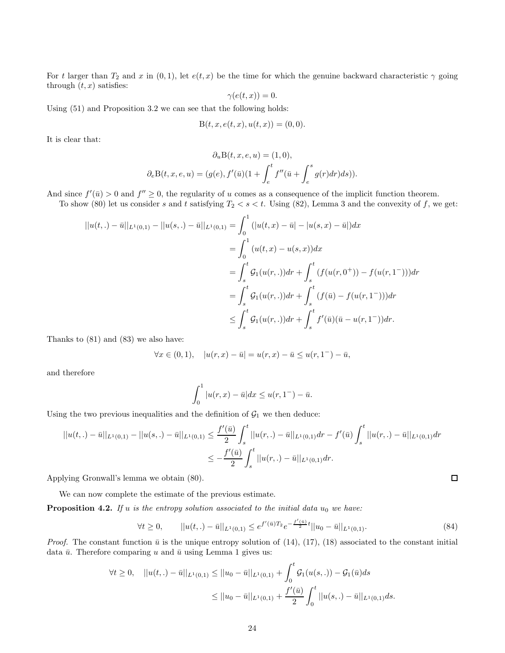For t larger than  $T_2$  and x in  $(0, 1)$ , let  $e(t, x)$  be the time for which the genuine backward characteristic  $\gamma$  going through  $(t, x)$  satisfies:

$$
\gamma(e(t,x))=0.
$$

Using (51) and Proposition 3.2 we can see that the following holds:

$$
B(t, x, e(t, x), u(t, x)) = (0, 0).
$$

It is clear that:

$$
\partial_u \mathbf{B}(t, x, e, u) = (1, 0),
$$
  

$$
\partial_e \mathbf{B}(t, x, e, u) = (g(e), f'(\bar{u})(1 + \int_e^t f''(\bar{u} + \int_e^s g(r) dr) ds)).
$$

And since  $f'(\bar{u}) > 0$  and  $f'' \geq 0$ , the regularity of u comes as a consequence of the implicit function theorem.

To show (80) let us consider s and t satisfying  $T_2 < s < t$ . Using (82), Lemma 3 and the convexity of f, we get:

$$
||u(t,.) - \bar{u}||_{L^{1}(0,1)} - ||u(s,.) - \bar{u}||_{L^{1}(0,1)} = \int_{0}^{1} (|u(t,x) - \bar{u}| - |u(s,x) - \bar{u}|) dx
$$
  
\n
$$
= \int_{0}^{1} (u(t,x) - u(s,x)) dx
$$
  
\n
$$
= \int_{s}^{t} \mathcal{G}_{1}(u(r,.)) dr + \int_{s}^{t} (f(u(r,0^{+})) - f(u(r,1^{-}))) dr
$$
  
\n
$$
= \int_{s}^{t} \mathcal{G}_{1}(u(r,.)) dr + \int_{s}^{t} (f(\bar{u}) - f(u(r,1^{-}))) dr
$$
  
\n
$$
\leq \int_{s}^{t} \mathcal{G}_{1}(u(r,.)) dr + \int_{s}^{t} f'(\bar{u})(\bar{u} - u(r,1^{-})) dr.
$$

Thanks to (81) and (83) we also have:

$$
\forall x \in (0,1), \quad |u(r,x) - \bar{u}| = u(r,x) - \bar{u} \le u(r,1^{-}) - \bar{u},
$$

and therefore

$$
\int_0^1 |u(r,x) - \bar{u}| dx \le u(r, 1^-) - \bar{u}.
$$

Using the two previous inequalities and the definition of  $\mathcal{G}_1$  we then deduce:

$$
||u(t,.) - \bar{u}||_{L^{1}(0,1)} - ||u(s,.) - \bar{u}||_{L^{1}(0,1)} \leq \frac{f'(\bar{u})}{2} \int_{s}^{t} ||u(r,.) - \bar{u}||_{L^{1}(0,1)} dr - f'(\bar{u}) \int_{s}^{t} ||u(r,.) - \bar{u}||_{L^{1}(0,1)} dr
$$
  

$$
\leq -\frac{f'(\bar{u})}{2} \int_{s}^{t} ||u(r,.) - \bar{u}||_{L^{1}(0,1)} dr.
$$

Applying Gronwall's lemma we obtain (80).

We can now complete the estimate of the previous estimate.

**Proposition 4.2.** *If* u *is the entropy solution associated to the initial data*  $u_0$  *we have:* 

$$
\forall t \ge 0, \qquad ||u(t,.) - \bar{u}||_{L^{1}(0,1)} \le e^{f'(\bar{u})T_{2}} e^{-\frac{f'(\bar{u})}{2}t} ||u_{0} - \bar{u}||_{L^{1}(0,1)}.
$$
\n
$$
(84)
$$

*Proof.* The constant function  $\bar{u}$  is the unique entropy solution of (14), (17), (18) associated to the constant initial data  $\bar{u}$ . Therefore comparing u and  $\bar{u}$  using Lemma 1 gives us:

$$
\forall t \ge 0, \quad ||u(t,.) - \bar{u}||_{L^1(0,1)} \le ||u_0 - \bar{u}||_{L^1(0,1)} + \int_0^t \mathcal{G}_1(u(s,.)) - \mathcal{G}_1(\bar{u})ds
$$
  

$$
\le ||u_0 - \bar{u}||_{L^1(0,1)} + \frac{f'(\bar{u})}{2} \int_0^t ||u(s,.) - \bar{u}||_{L^1(0,1)}ds.
$$

 $\Box$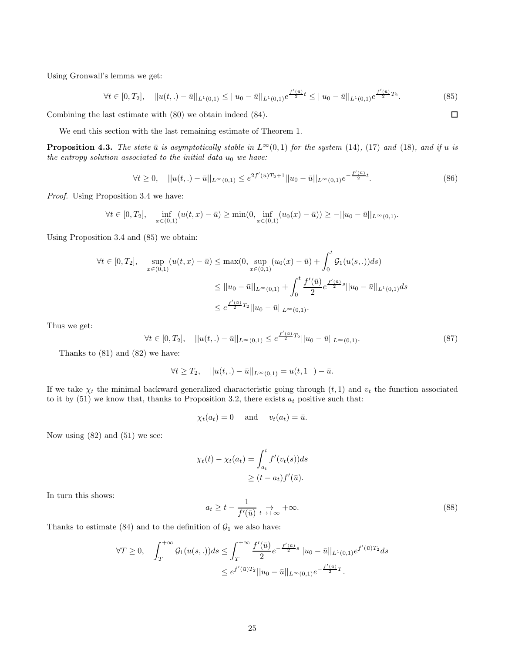Using Gronwall's lemma we get:

$$
\forall t \in [0, T_2], \quad ||u(t,.) - \bar{u}||_{L^1(0,1)} \le ||u_0 - \bar{u}||_{L^1(0,1)} e^{\frac{f'( \bar{u})}{2} t} \le ||u_0 - \bar{u}||_{L^1(0,1)} e^{\frac{f'( \bar{u})}{2} T_2}.
$$
\n
$$
(85)
$$

Combining the last estimate with (80) we obtain indeed (84).

We end this section with the last remaining estimate of Theorem 1.

**Proposition 4.3.** *The state*  $\bar{u}$  *is asymptotically stable in*  $L^{\infty}(0, 1)$  *for the system* (14)*,* (17) *and* (18)*, and if u is the entropy solution associated to the initial data*  $u_0$  *we have:* 

$$
\forall t \ge 0, \quad ||u(t,.) - \bar{u}||_{L^{\infty}(0,1)} \le e^{2f'(\bar{u})T_2 + 1}||u_0 - \bar{u}||_{L^{\infty}(0,1)}e^{-\frac{f'(\bar{u})}{2}t}.
$$
\n
$$
(86)
$$

*Proof.* Using Proposition 3.4 we have:

$$
\forall t \in [0, T_2], \quad \inf_{x \in (0, 1)} (u(t, x) - \bar{u}) \ge \min(0, \inf_{x \in (0, 1)} (u_0(x) - \bar{u})) \ge -||u_0 - \bar{u}||_{L^{\infty}(0, 1)}.
$$

Using Proposition 3.4 and (85) we obtain:

$$
\forall t \in [0, T_2], \quad \sup_{x \in (0, 1)} (u(t, x) - \bar{u}) \le \max(0, \sup_{x \in (0, 1)} (u_0(x) - \bar{u}) + \int_0^t \mathcal{G}_1(u(s, .)) ds)
$$
  

$$
\le ||u_0 - \bar{u}||_{L^{\infty}(0, 1)} + \int_0^t \frac{f'(\bar{u})}{2} e^{\frac{f'(\bar{u})}{2}s} ||u_0 - \bar{u}||_{L^1(0, 1)} ds
$$
  

$$
\le e^{\frac{f'(\bar{u})}{2}T_2} ||u_0 - \bar{u}||_{L^{\infty}(0, 1)}.
$$

Thus we get:

$$
\forall t \in [0, T_2], \quad ||u(t,.) - \bar{u}||_{L^{\infty}(0,1)} \le e^{\frac{f'(u)}{2}T_2}||u_0 - \bar{u}||_{L^{\infty}(0,1)}.
$$
\n
$$
(87)
$$

Thanks to (81) and (82) we have:

$$
\forall t \geq T_2, \quad ||u(t,.) - \bar{u}||_{L^{\infty}(0,1)} = u(t,1^{-}) - \bar{u}.
$$

If we take  $\chi_t$  the minimal backward generalized characteristic going through  $(t, 1)$  and  $v_t$  the function associated to it by  $(51)$  we know that, thanks to Proposition 3.2, there exists  $a_t$  positive such that:

$$
\chi_t(a_t) = 0
$$
 and  $v_t(a_t) = \bar{u}$ .

Now using  $(82)$  and  $(51)$  we see:

$$
\chi_t(t) - \chi_t(a_t) = \int_{a_t}^t f'(v_t(s))ds
$$
  
 
$$
\ge (t - a_t)f'(\bar{u}).
$$

In turn this shows:

$$
a_t \ge t - \frac{1}{f'(\bar{u})} \underset{t \to +\infty}{\to} +\infty. \tag{88}
$$

Thanks to estimate (84) and to the definition of  $\mathcal{G}_1$  we also have:

$$
\forall T \ge 0, \quad \int_{T}^{+\infty} \mathcal{G}_1(u(s,.))ds \le \int_{T}^{+\infty} \frac{f'(\bar{u})}{2} e^{-\frac{f'(\bar{u})}{2}s} ||u_0 - \bar{u}||_{L^1(0,1)} e^{f'(\bar{u})T_2} ds
$$

$$
\le e^{f'(\bar{u})T_2} ||u_0 - \bar{u}||_{L^{\infty}(0,1)} e^{-\frac{f'(\bar{u})}{2}T}.
$$

 $\Box$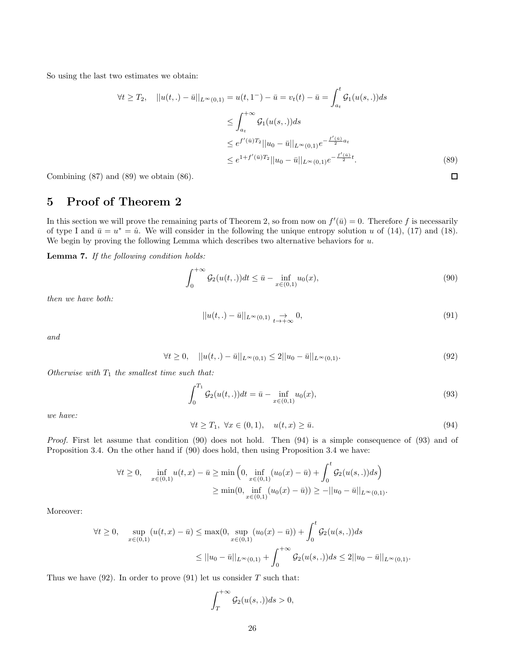So using the last two estimates we obtain:

$$
\forall t \ge T_2, \quad ||u(t,.) - \bar{u}||_{L^{\infty}(0,1)} = u(t,1^{-}) - \bar{u} = v_t(t) - \bar{u} = \int_{a_t}^{t} \mathcal{G}_1(u(s,.))ds
$$

$$
\le \int_{a_t}^{+\infty} \mathcal{G}_1(u(s,.))ds
$$

$$
\le e^{f'(\bar{u})T_2} ||u_0 - \bar{u}||_{L^{\infty}(0,1)} e^{-\frac{f'(\bar{u})}{2}a_t}
$$

$$
\le e^{1+f'(\bar{u})T_2} ||u_0 - \bar{u}||_{L^{\infty}(0,1)} e^{-\frac{f'(\bar{u})}{2}t}.
$$
(89)

Combining (87) and (89) we obtain (86).

## 5 Proof of Theorem 2

In this section we will prove the remaining parts of Theorem 2, so from now on  $f'(\bar{u}) = 0$ . Therefore f is necessarily of type I and  $\bar{u} = u^* = \hat{u}$ . We will consider in the following the unique entropy solution u of (14), (17) and (18). We begin by proving the following Lemma which describes two alternative behaviors for  $u$ .

Lemma 7. *If the following condition holds:*

$$
\int_0^{+\infty} \mathcal{G}_2(u(t,.))dt \le \bar{u} - \inf_{x \in (0,1)} u_0(x),\tag{90}
$$

 $\Box$ 

*then we have both:*

$$
||u(t,.) - \bar{u}||_{L^{\infty}(0,1)} \underset{t \to +\infty}{\to} 0,
$$
\n(91)

*and*

$$
\forall t \ge 0, \quad ||u(t,.) - \bar{u}||_{L^{\infty}(0,1)} \le 2||u_0 - \bar{u}||_{L^{\infty}(0,1)}.
$$
\n(92)

*Otherwise with*  $T_1$  *the smallest time such that:* 

$$
\int_0^{T_1} \mathcal{G}_2(u(t,.))dt = \bar{u} - \inf_{x \in (0,1)} u_0(x),\tag{93}
$$

*we have:*

$$
\forall t \geq T_1, \ \forall x \in (0,1), \quad u(t,x) \geq \bar{u}.\tag{94}
$$

*Proof.* First let assume that condition (90) does not hold. Then (94) is a simple consequence of (93) and of Proposition 3.4. On the other hand if (90) does hold, then using Proposition 3.4 we have:

$$
\forall t \ge 0, \quad \inf_{x \in (0,1)} u(t,x) - \bar{u} \ge \min\left(0, \inf_{x \in (0,1)} (u_0(x) - \bar{u}) + \int_0^t \mathcal{G}_2(u(s,.))ds\right)
$$

$$
\ge \min(0, \inf_{x \in (0,1)} (u_0(x) - \bar{u})) \ge -||u_0 - \bar{u}||_{L^{\infty}(0,1)}.
$$

Moreover:

$$
\forall t \ge 0, \quad \sup_{x \in (0,1)} (u(t,x) - \bar{u}) \le \max(0, \sup_{x \in (0,1)} (u_0(x) - \bar{u})) + \int_0^t \mathcal{G}_2(u(s,.))ds
$$
  

$$
\le ||u_0 - \bar{u}||_{L^{\infty}(0,1)} + \int_0^{+\infty} \mathcal{G}_2(u(s,.))ds \le 2||u_0 - \bar{u}||_{L^{\infty}(0,1)}.
$$

Thus we have  $(92)$ . In order to prove  $(91)$  let us consider T such that:

$$
\int_T^{+\infty} \mathcal{G}_2(u(s,.))ds > 0,
$$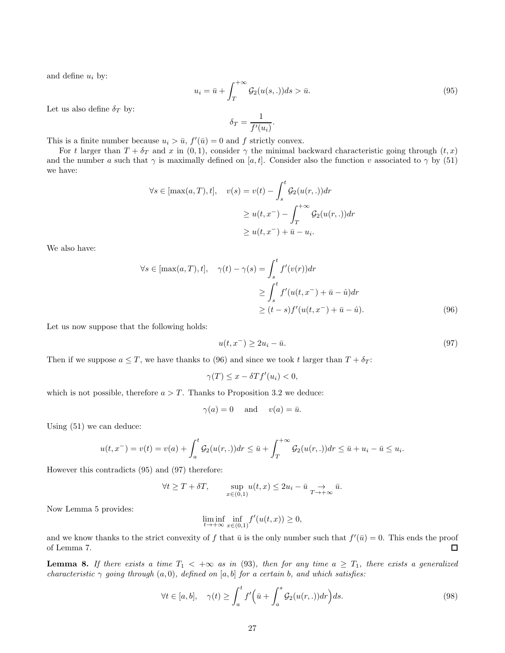and define  $u_i$  by:

$$
u_i = \bar{u} + \int_T^{+\infty} \mathcal{G}_2(u(s, .)) ds > \bar{u}.
$$
\n(95)

Let us also define  $\delta_T$  by:

$$
\delta_T = \frac{1}{f'(u_i)}
$$

.

This is a finite number because  $u_i > \bar{u}$ ,  $f'(\bar{u}) = 0$  and f strictly convex.

For t larger than  $T + \delta_T$  and x in (0, 1), consider  $\gamma$  the minimal backward characteristic going through  $(t, x)$ and the number a such that  $\gamma$  is maximally defined on [a, t]. Consider also the function v associated to  $\gamma$  by (51) we have:

$$
\forall s \in [\max(a, T), t], \quad v(s) = v(t) - \int_s^t \mathcal{G}_2(u(r, .)) dr
$$

$$
\geq u(t, x^-) - \int_T^{+\infty} \mathcal{G}_2(u(r, .)) dr
$$

$$
\geq u(t, x^-) + \bar{u} - u_i.
$$

We also have:

$$
\forall s \in [\max(a, T), t], \quad \gamma(t) - \gamma(s) = \int_s^t f'(v(r)) dr
$$

$$
\geq \int_s^t f'(u(t, x^-) + \bar{u} - \hat{u}) dr
$$

$$
\geq (t - s) f'(u(t, x^-) + \bar{u} - \hat{u}).
$$
(96)

Let us now suppose that the following holds:

$$
u(t, x^{-}) \ge 2u_{i} - \bar{u}.\tag{97}
$$

Then if we suppose  $a \leq T$ , we have thanks to (96) and since we took t larger than  $T + \delta_T$ :

$$
\gamma(T) \le x - \delta T f'(u_i) < 0,
$$

which is not possible, therefore  $a > T$ . Thanks to Proposition 3.2 we deduce:

$$
\gamma(a) = 0
$$
 and  $v(a) = \bar{u}$ .

Using (51) we can deduce:

$$
u(t, x^{-}) = v(t) = v(a) + \int_{a}^{t} \mathcal{G}_{2}(u(r, .)) dr \leq \bar{u} + \int_{T}^{+\infty} \mathcal{G}_{2}(u(r, .)) dr \leq \bar{u} + u_{i} - \bar{u} \leq u_{i}.
$$

However this contradicts (95) and (97) therefore:

$$
\forall t \geq T + \delta T, \qquad \sup_{x \in (0,1)} u(t,x) \leq 2u_i - \bar{u} \underset{T \to +\infty}{\to} \bar{u}.
$$

Now Lemma 5 provides:

$$
\liminf_{t \to +\infty} \inf_{x \in (0,1)} f'(u(t,x)) \ge 0,
$$

and we know thanks to the strict convexity of f that  $\bar{u}$  is the only number such that  $f'(\bar{u}) = 0$ . This ends the proof of Lemma 7.  $\Box$ 

**Lemma 8.** If there exists a time  $T_1 < +\infty$  as in (93), then for any time  $a \geq T_1$ , there exists a generalized *characteristic*  $\gamma$  *going through*  $(a, 0)$ *, defined on* [a, b] *for a certain* b*, and which satisfies:* 

$$
\forall t \in [a, b], \quad \gamma(t) \ge \int_a^t f'\Big(\bar{u} + \int_a^s \mathcal{G}_2(u(r, .))dr\Big)ds. \tag{98}
$$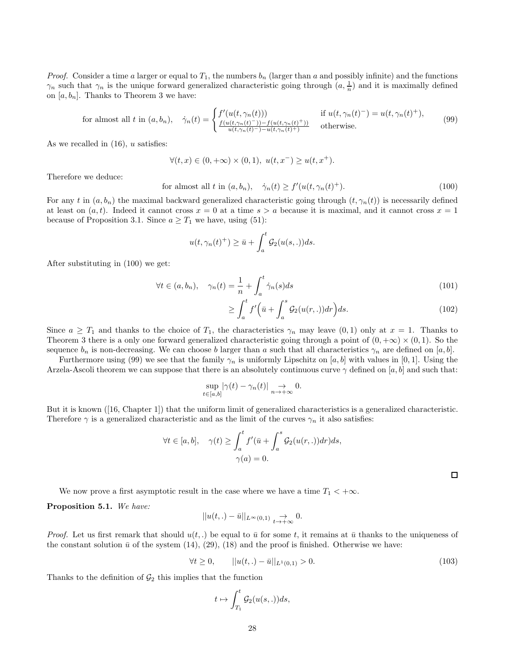*Proof.* Consider a time a larger or equal to  $T_1$ , the numbers  $b_n$  (larger than a and possibly infinite) and the functions  $\gamma_n$  such that  $\gamma_n$  is the unique forward generalized characteristic going through  $(a, \frac{1}{n})$  and it is maximally defined on  $[a, b_n]$ . Thanks to Theorem 3 we have:

for almost all 
$$
t
$$
 in  $(a, b_n)$ ,  $\dot{\gamma}_n(t) = \begin{cases} f'(u(t, \gamma_n(t))) & \text{if } u(t, \gamma_n(t)^{-}) = u(t, \gamma_n(t)^{+}), \\ \frac{f(u(t, \gamma_n(t)^{-})) - f(u(t, \gamma_n(t)^{+}))}{u(t, \gamma_n(t)^{-}) - u(t, \gamma_n(t)^{+})} & \text{otherwise.} \end{cases}$  (99)

As we recalled in  $(16)$ , u satisfies:

$$
\forall (t, x) \in (0, +\infty) \times (0, 1), \ u(t, x^{-}) \ge u(t, x^{+}).
$$

Therefore we deduce:

for almost all 
$$
t
$$
 in  $(a, b_n)$ ,  $\dot{\gamma}_n(t) \ge f'(u(t, \gamma_n(t)^+)).$  (100)

For any t in  $(a, b_n)$  the maximal backward generalized characteristic going through  $(t, \gamma_n(t))$  is necessarily defined at least on  $(a, t)$ . Indeed it cannot cross  $x = 0$  at a time  $s > a$  because it is maximal, and it cannot cross  $x = 1$ because of Proposition 3.1. Since  $a \geq T_1$  we have, using (51):

$$
u(t, \gamma_n(t)^+) \geq \bar{u} + \int_a^t \mathcal{G}_2(u(s,.))ds.
$$

After substituting in (100) we get:

$$
\forall t \in (a, b_n), \quad \gamma_n(t) = \frac{1}{n} + \int_a^t \dot{\gamma}_n(s) ds \tag{101}
$$

$$
\geq \int_{a}^{t} f'\Big(\bar{u} + \int_{a}^{s} \mathcal{G}_2(u(r,.)) dr\Big) ds. \tag{102}
$$

Since  $a \geq T_1$  and thanks to the choice of  $T_1$ , the characteristics  $\gamma_n$  may leave  $(0,1)$  only at  $x=1$ . Thanks to Theorem 3 there is a only one forward generalized characteristic going through a point of  $(0, +\infty) \times (0, 1)$ . So the sequence  $b_n$  is non-decreasing. We can choose b larger than a such that all characteristics  $\gamma_n$  are defined on [a, b].

Furthermore using (99) we see that the family  $\gamma_n$  is uniformly Lipschitz on [a, b] with values in [0, 1]. Using the Arzela-Ascoli theorem we can suppose that there is an absolutely continuous curve  $\gamma$  defined on [a, b] and such that:

$$
\sup_{t\in[a,b]}|\gamma(t)-\gamma_n(t)|\underset{n\to+\infty}{\to}0.
$$

But it is known ([16, Chapter 1]) that the uniform limit of generalized characteristics is a generalized characteristic. Therefore  $\gamma$  is a generalized characteristic and as the limit of the curves  $\gamma_n$  it also satisfies:

$$
\forall t \in [a, b], \quad \gamma(t) \ge \int_a^t f'(\bar{u} + \int_a^s \mathcal{G}_2(u(r, .)) dr) ds,
$$
  

$$
\gamma(a) = 0.
$$

 $\Box$ 

We now prove a first asymptotic result in the case where we have a time  $T_1 < +\infty$ .

Proposition 5.1. *We have:*

$$
||u(t,.) - \bar{u}||_{L^{\infty}(0,1)} \underset{t \to +\infty}{\to} 0.
$$

*Proof.* Let us first remark that should  $u(t,.)$  be equal to  $\bar{u}$  for some t, it remains at  $\bar{u}$  thanks to the uniqueness of the constant solution  $\bar{u}$  of the system (14), (29), (18) and the proof is finished. Otherwise we have:

$$
\forall t \ge 0, \qquad ||u(t,.) - \bar{u}||_{L^{1}(0,1)} > 0. \tag{103}
$$

Thanks to the definition of  $\mathcal{G}_2$  this implies that the function

$$
t \mapsto \int_{T_1}^t \mathcal{G}_2(u(s,.))ds,
$$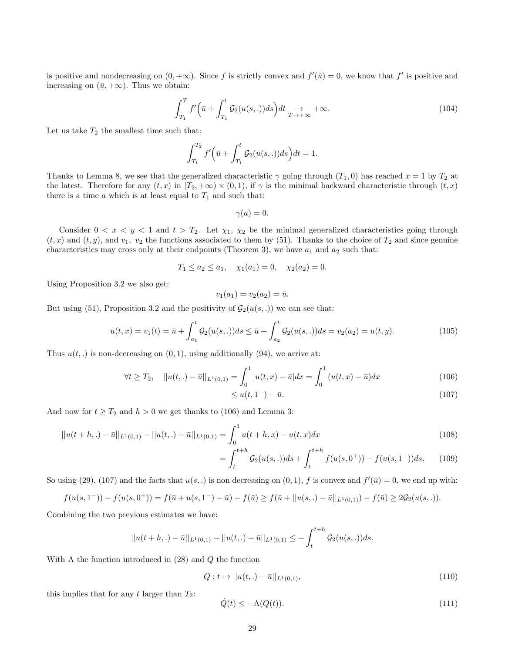is positive and nondecreasing on  $(0, +\infty)$ . Since f is strictly convex and  $f'(\bar{u}) = 0$ , we know that f' is positive and increasing on  $(\bar{u}, +\infty)$ . Thus we obtain:

$$
\int_{T_1}^{T} f'(\bar{u} + \int_{T_1}^{t} \mathcal{G}_2(u(s,.))ds)dt \underset{T \to +\infty}{\to} +\infty.
$$
 (104)

Let us take  $T_2$  the smallest time such that:

$$
\int_{T_1}^{T_2} f'(\bar{u} + \int_{T_1}^t \mathcal{G}_2(u(s,.))ds) dt = 1.
$$

Thanks to Lemma 8, we see that the generalized characteristic  $\gamma$  going through  $(T_1, 0)$  has reached  $x = 1$  by  $T_2$  at the latest. Therefore for any  $(t, x)$  in  $[T_2, +\infty) \times (0, 1)$ , if  $\gamma$  is the minimal backward characteristic through  $(t, x)$ there is a time  $a$  which is at least equal to  $T_1$  and such that:

$$
\gamma(a)=0.
$$

Consider  $0 < x < y < 1$  and  $t > T_2$ . Let  $\chi_1, \chi_2$  be the minimal generalized characteristics going through  $(t, x)$  and  $(t, y)$ , and  $v_1$ ,  $v_2$  the functions associated to them by (51). Thanks to the choice of  $T_2$  and since genuine characteristics may cross only at their endpoints (Theorem 3), we have  $a_1$  and  $a_2$  such that:

$$
T_1 \le a_2 \le a_1
$$
,  $\chi_1(a_1) = 0$ ,  $\chi_2(a_2) = 0$ .

Using Proposition 3.2 we also get:

$$
v_1(a_1) = v_2(a_2) = \bar{u}.
$$

But using (51), Proposition 3.2 and the positivity of  $\mathcal{G}_2(u(s, .))$  we can see that:

$$
u(t,x) = v_1(t) = \bar{u} + \int_{a_1}^t \mathcal{G}_2(u(s,.))ds \le \bar{u} + \int_{a_2}^t \mathcal{G}_2(u(s,.))ds = v_2(a_2) = u(t,y). \tag{105}
$$

Thus  $u(t,.)$  is non-decreasing on  $(0,1)$ , using additionally  $(94)$ , we arrive at:

$$
\forall t \ge T_2, \quad ||u(t,.) - \bar{u}||_{L^1(0,1)} = \int_0^1 |u(t,x) - \bar{u}| dx = \int_0^1 (u(t,x) - \bar{u}) dx \tag{106}
$$
  

$$
\le u(t, 1^-) - \bar{u}. \tag{107}
$$

$$
\leq u(t, 1^{-}) - \bar{u}.\tag{107}
$$

And now for  $t \geq T_2$  and  $h > 0$  we get thanks to (106) and Lemma 3:

$$
||u(t+h,.) - \bar{u}||_{L^{1}(0,1)} - ||u(t,.) - \bar{u}||_{L^{1}(0,1)} = \int_{0}^{1} u(t+h,x) - u(t,x)dx
$$
\n(108)

$$
\int_{t}^{t+h} \mathcal{G}_2(u(s,.))ds + \int_{t}^{t+h} f(u(s,0^+)) - f(u(s,1^-))ds.
$$
 (109)

So using (29), (107) and the facts that  $u(s,.)$  is non decreasing on  $(0,1)$ , f is convex and  $f'(\bar{u}) = 0$ , we end up with:

=

$$
f(u(s,1^{-})) - f(u(s,0^{+})) = f(\bar{u} + u(s,1^{-}) - \bar{u}) - f(\bar{u}) \ge f(\bar{u} + ||u(s,.) - \bar{u}||_{L^{1}(0,1)}) - f(\bar{u}) \ge 2\mathcal{G}_{2}(u(s,.)).
$$

Combining the two previous estimates we have:

$$
||u(t+h,.) - \bar{u}||_{L^1(0,1)} - ||u(t,.) - \bar{u}||_{L^1(0,1)} \leq -\int_t^{t+h} \mathcal{G}_2(u(s,.))ds.
$$

With A the function introduced in (28) and Q the function

$$
Q: t \mapsto ||u(t,.) - \bar{u}||_{L^{1}(0,1)}, \tag{110}
$$

this implies that for any t larger than  $T_2$ :

$$
\dot{Q}(t) \le -\mathcal{A}(Q(t)).\tag{111}
$$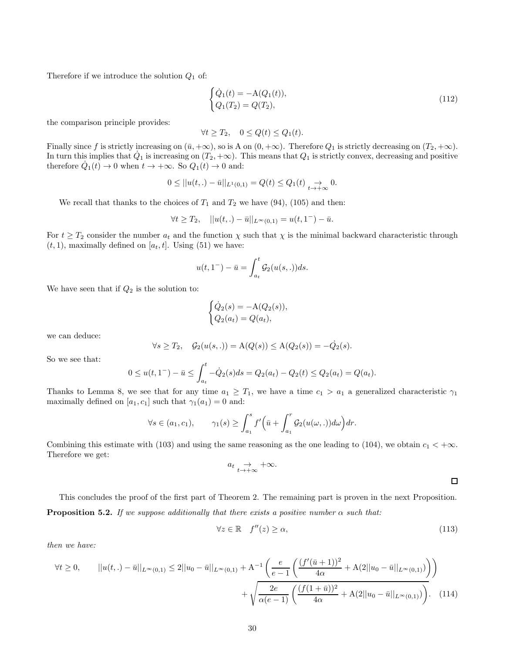Therefore if we introduce the solution  $Q_1$  of:

$$
\begin{cases}\n\dot{Q}_1(t) = -A(Q_1(t)),\\ \nQ_1(T_2) = Q(T_2),\n\end{cases} \tag{112}
$$

the comparison principle provides:

$$
\forall t \geq T_2, \quad 0 \leq Q(t) \leq Q_1(t).
$$

Finally since f is strictly increasing on  $(\bar{u}, +\infty)$ , so is A on  $(0, +\infty)$ . Therefore  $Q_1$  is strictly decreasing on  $(T_2, +\infty)$ . In turn this implies that  $\dot{Q}_1$  is increasing on  $(T_2, +\infty)$ . This means that  $Q_1$  is strictly convex, decreasing and positive therefore  $\dot{Q}_1(t) \to 0$  when  $t \to +\infty$ . So  $Q_1(t) \to 0$  and:

$$
0 \leq ||u(t,.) - \bar{u}||_{L^1(0,1)} = Q(t) \leq Q_1(t) \underset{t \to +\infty}{\to} 0.
$$

We recall that thanks to the choices of  $T_1$  and  $T_2$  we have (94), (105) and then:

$$
\forall t \geq T_2, \quad ||u(t,.) - \bar{u}||_{L^{\infty}(0,1)} = u(t,1^{-}) - \bar{u}.
$$

For  $t \geq T_2$  consider the number  $a_t$  and the function  $\chi$  such that  $\chi$  is the minimal backward characteristic through  $(t, 1)$ , maximally defined on  $[a_t, t]$ . Using (51) we have:

$$
u(t, 1^{-}) - \bar{u} = \int_{a_t}^{t} \mathcal{G}_2(u(s, .)) ds.
$$

We have seen that if  $Q_2$  is the solution to:

$$
\begin{cases}\n\dot{Q}_2(s) = -\mathcal{A}(Q_2(s)), \\
Q_2(a_t) = Q(a_t),\n\end{cases}
$$

we can deduce:

$$
\forall s \ge T_2
$$
,  $G_2(u(s,.)) = A(Q(s)) \le A(Q_2(s)) = -Q_2(s)$ .

So we see that:

$$
0 \le u(t, 1^-) - \bar{u} \le \int_{a_t}^t -\dot{Q}_2(s)ds = Q_2(a_t) - Q_2(t) \le Q_2(a_t) = Q(a_t).
$$

Thanks to Lemma 8, we see that for any time  $a_1 \geq T_1$ , we have a time  $c_1 > a_1$  a generalized characteristic  $\gamma_1$ maximally defined on  $[a_1, c_1]$  such that  $\gamma_1(a_1) = 0$  and:

$$
\forall s \in (a_1, c_1), \qquad \gamma_1(s) \ge \int_{a_1}^s f'\Big(\bar{u} + \int_{a_1}^r \mathcal{G}_2(u(\omega, .))d\omega\Big)dr.
$$

Combining this estimate with (103) and using the same reasoning as the one leading to (104), we obtain  $c_1 < +\infty$ . Therefore we get:

$$
a_t \underset{t \to +\infty}{\to} +\infty.
$$

 $\Box$ 

This concludes the proof of the first part of Theorem 2. The remaining part is proven in the next Proposition. **Proposition 5.2.** *If we suppose additionally that there exists a positive number*  $\alpha$  *such that:* 

$$
\forall z \in \mathbb{R} \quad f''(z) \ge \alpha,\tag{113}
$$

*then we have:*

$$
\forall t \ge 0, \qquad ||u(t,.) - \bar{u}||_{L^{\infty}(0,1)} \le 2||u_0 - \bar{u}||_{L^{\infty}(0,1)} + A^{-1} \left( \frac{e}{e-1} \left( \frac{(f'(\bar{u}+1))^2}{4\alpha} + A(2||u_0 - \bar{u}||_{L^{\infty}(0,1)}) \right) + \sqrt{\frac{2e}{\alpha(e-1)} \left( \frac{(f(1+\bar{u}))^2}{4\alpha} + A(2||u_0 - \bar{u}||_{L^{\infty}(0,1)}) \right)}. \tag{114}
$$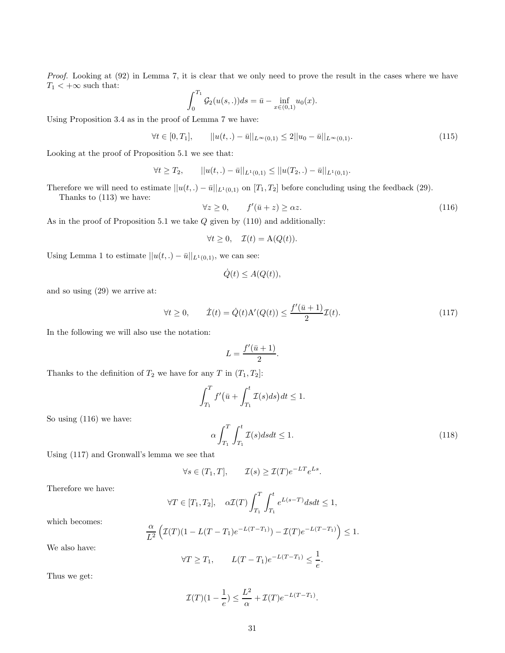*Proof.* Looking at (92) in Lemma 7, it is clear that we only need to prove the result in the cases where we have  $T_1<+\infty$  such that:

$$
\int_0^{T_1} \mathcal{G}_2(u(s,.))ds = \bar{u} - \inf_{x \in (0,1)} u_0(x).
$$

Using Proposition 3.4 as in the proof of Lemma 7 we have:

$$
\forall t \in [0, T_1], \qquad ||u(t,.) - \bar{u}||_{L^{\infty}(0,1)} \le 2||u_0 - \bar{u}||_{L^{\infty}(0,1)}.
$$
\n(115)

Looking at the proof of Proposition 5.1 we see that:

$$
\forall t \geq T_2, \qquad ||u(t,.) - \bar{u}||_{L^1(0,1)} \leq ||u(T_2,.) - \bar{u}||_{L^1(0,1)}.
$$

Therefore we will need to estimate  $||u(t,.) - \bar{u}||_{L^1(0,1)}$  on  $[T_1, T_2]$  before concluding using the feedback (29).

Thanks to (113) we have:

$$
\forall z \ge 0, \qquad f'(\bar{u} + z) \ge \alpha z. \tag{116}
$$

As in the proof of Proposition 5.1 we take  $Q$  given by  $(110)$  and additionally:

$$
\forall t \ge 0, \quad \mathcal{I}(t) = \mathcal{A}(Q(t)).
$$

Using Lemma 1 to estimate  $||u(t,.) - \bar{u}||_{L^1(0,1)}$ , we can see:

$$
\dot{Q}(t) \leq A(Q(t)),
$$

and so using (29) we arrive at:

$$
\forall t \ge 0, \qquad \dot{\mathcal{I}}(t) = \dot{Q}(t) \mathbf{A}'(Q(t)) \le \frac{f'(\bar{u}+1)}{2} \mathcal{I}(t). \tag{117}
$$

In the following we will also use the notation:

$$
L = \frac{f'(\bar{u} + 1)}{2}
$$

Thanks to the definition of  $T_2$  we have for any  $T$  in  $(T_1, T_2]$ :

$$
\int_{T_1}^T f'(\bar{u} + \int_{T_1}^t \mathcal{I}(s)ds)dt \le 1.
$$

.

So using (116) we have:

$$
\alpha \int_{T_1}^{T} \int_{T_1}^{t} \mathcal{I}(s) ds dt \le 1.
$$
\n(118)

Using (117) and Gronwall's lemma we see that

$$
\forall s \in (T_1, T], \qquad \mathcal{I}(s) \ge \mathcal{I}(T)e^{-LT}e^{Ls}.
$$

Therefore we have:

$$
\forall T \in [T_1, T_2], \quad \alpha \mathcal{I}(T) \int_{T_1}^T \int_{T_1}^t e^{L(s-T)} ds dt \le 1,
$$

which becomes:

$$
\frac{\alpha}{L^2} \left( \mathcal{I}(T)(1 - L(T - T_1)e^{-L(T - T_1)}) - \mathcal{I}(T)e^{-L(T - T_1)} \right) \le 1.
$$

We also have:

$$
\forall T \ge T_1, \qquad L(T - T_1)e^{-L(T - T_1)} \le \frac{1}{e}.
$$

Thus we get:

$$
\mathcal{I}(T)(1-\frac{1}{e}) \le \frac{L^2}{\alpha} + \mathcal{I}(T)e^{-L(T-T_1)}.
$$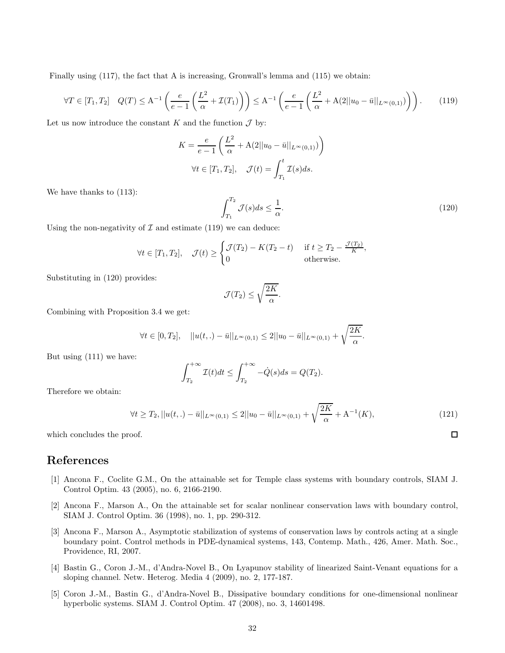Finally using (117), the fact that A is increasing, Gronwall's lemma and (115) we obtain:

$$
\forall T \in [T_1, T_2] \quad Q(T) \le A^{-1} \left( \frac{e}{e-1} \left( \frac{L^2}{\alpha} + \mathcal{I}(T_1) \right) \right) \le A^{-1} \left( \frac{e}{e-1} \left( \frac{L^2}{\alpha} + A(2||u_0 - \bar{u}||_{L^{\infty}(0,1)}) \right) \right). \tag{119}
$$

Let us now introduce the constant K and the function  $\mathcal J$  by:

$$
K = \frac{e}{e-1} \left( \frac{L^2}{\alpha} + \mathcal{A}(2||u_0 - \bar{u}||_{L^{\infty}(0,1)}) \right)
$$
  

$$
\forall t \in [T_1, T_2], \quad \mathcal{J}(t) = \int_{T_1}^t \mathcal{I}(s)ds.
$$

We have thanks to (113):

$$
\int_{T_1}^{T_2} \mathcal{J}(s)ds \le \frac{1}{\alpha}.\tag{120}
$$

 $\Box$ 

Using the non-negativity of  $\mathcal I$  and estimate (119) we can deduce:

$$
\forall t \in [T_1, T_2], \quad \mathcal{J}(t) \ge \begin{cases} \mathcal{J}(T_2) - K(T_2 - t) & \text{if } t \ge T_2 - \frac{\mathcal{J}(T_2)}{K}, \\ 0 & \text{otherwise.} \end{cases}
$$

Substituting in (120) provides:

$$
\mathcal{J}(T_2) \le \sqrt{\frac{2K}{\alpha}}.
$$

Combining with Proposition 3.4 we get:

$$
\forall t \in [0, T_2], \quad ||u(t,.) - \bar{u}||_{L^{\infty}(0,1)} \leq 2||u_0 - \bar{u}||_{L^{\infty}(0,1)} + \sqrt{\frac{2K}{\alpha}}.
$$

But using (111) we have:

$$
\int_{T_2}^{+\infty} \mathcal{I}(t)dt \le \int_{T_2}^{+\infty} -\dot{Q}(s)ds = Q(T_2).
$$

Therefore we obtain:

$$
\forall t \geq T_2, ||u(t,.) - \bar{u}||_{L^{\infty}(0,1)} \leq 2||u_0 - \bar{u}||_{L^{\infty}(0,1)} + \sqrt{\frac{2K}{\alpha}} + A^{-1}(K),
$$
\n(121)

which concludes the proof.

### References

- [1] Ancona F., Coclite G.M., On the attainable set for Temple class systems with boundary controls, SIAM J. Control Optim. 43 (2005), no. 6, 2166-2190.
- [2] Ancona F., Marson A., On the attainable set for scalar nonlinear conservation laws with boundary control, SIAM J. Control Optim. 36 (1998), no. 1, pp. 290-312.
- [3] Ancona F., Marson A., Asymptotic stabilization of systems of conservation laws by controls acting at a single boundary point. Control methods in PDE-dynamical systems, 143, Contemp. Math., 426, Amer. Math. Soc., Providence, RI, 2007.
- [4] Bastin G., Coron J.-M., d'Andra-Novel B., On Lyapunov stability of linearized Saint-Venant equations for a sloping channel. Netw. Heterog. Media 4 (2009), no. 2, 177-187.
- [5] Coron J.-M., Bastin G., d'Andra-Novel B., Dissipative boundary conditions for one-dimensional nonlinear hyperbolic systems. SIAM J. Control Optim. 47 (2008), no. 3, 14601498.